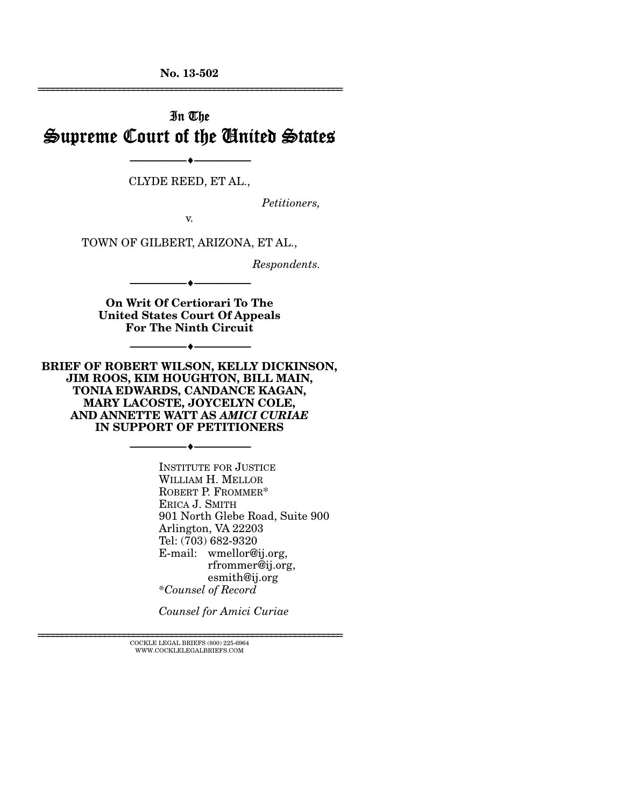**No. 13-502**  ================================================================

# In The Supreme Court of the United States

CLYDE REED, ET AL.,

--------------------------------- ---------------------------------

*Petitioners,* 

v.

TOWN OF GILBERT, ARIZONA, ET AL.,

*Respondents.* 

**On Writ Of Certiorari To The United States Court Of Appeals For The Ninth Circuit** 

--------------------------------- ---------------------------------

--------------------------------- ---------------------------------

**BRIEF OF ROBERT WILSON, KELLY DICKINSON, JIM ROOS, KIM HOUGHTON, BILL MAIN, TONIA EDWARDS, CANDANCE KAGAN, MARY LACOSTE, JOYCELYN COLE, AND ANNETTE WATT AS** *AMICI CURIAE*  **IN SUPPORT OF PETITIONERS** 

--------------------------------- ---------------------------------

INSTITUTE FOR JUSTICE WILLIAM H. MELLOR ROBERT P. FROMMER\* ERICA J. SMITH 901 North Glebe Road, Suite 900 Arlington, VA 22203 Tel: (703) 682-9320 E-mail: wmellor@ij.org, rfrommer@ij.org, esmith@ij.org *\*Counsel of Record* 

*Counsel for Amici Curiae* 

 $\textsc{COCKLE}$  LEGAL BRIEFS (800) 225-6964 WWW.COCKLELEGALBRIEFS.COM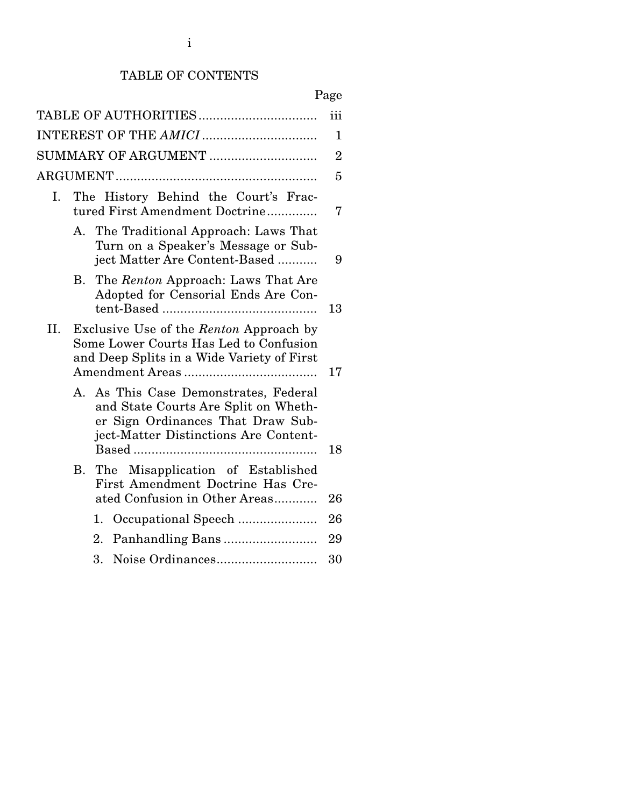# TABLE OF CONTENTS

# Page

| TABLE OF AUTHORITIES                                                                                                                                           | iii                                                                 |
|----------------------------------------------------------------------------------------------------------------------------------------------------------------|---------------------------------------------------------------------|
|                                                                                                                                                                | $\mathbf{1}$                                                        |
| SUMMARY OF ARGUMENT                                                                                                                                            | $\overline{2}$                                                      |
|                                                                                                                                                                | 5                                                                   |
| The History Behind the Court's Frac-<br>tured First Amendment Doctrine                                                                                         | 7                                                                   |
| A. The Traditional Approach: Laws That<br>Turn on a Speaker's Message or Sub-<br>ject Matter Are Content-Based                                                 | 9                                                                   |
| The Renton Approach: Laws That Are<br>В.<br>Adopted for Censorial Ends Are Con-                                                                                | 13                                                                  |
| Exclusive Use of the Renton Approach by<br>Some Lower Courts Has Led to Confusion<br>and Deep Splits in a Wide Variety of First                                | 17                                                                  |
| As This Case Demonstrates, Federal<br>А.<br>and State Courts Are Split on Wheth-<br>er Sign Ordinances That Draw Sub-<br>ject-Matter Distinctions Are Content- | 18                                                                  |
| B. The Misapplication of Established<br>First Amendment Doctrine Has Cre-                                                                                      |                                                                     |
|                                                                                                                                                                | 26                                                                  |
|                                                                                                                                                                | 26                                                                  |
|                                                                                                                                                                | 29                                                                  |
|                                                                                                                                                                | 30                                                                  |
|                                                                                                                                                                | ated Confusion in Other Areas<br>1.<br>Panhandling Bans<br>2.<br>3. |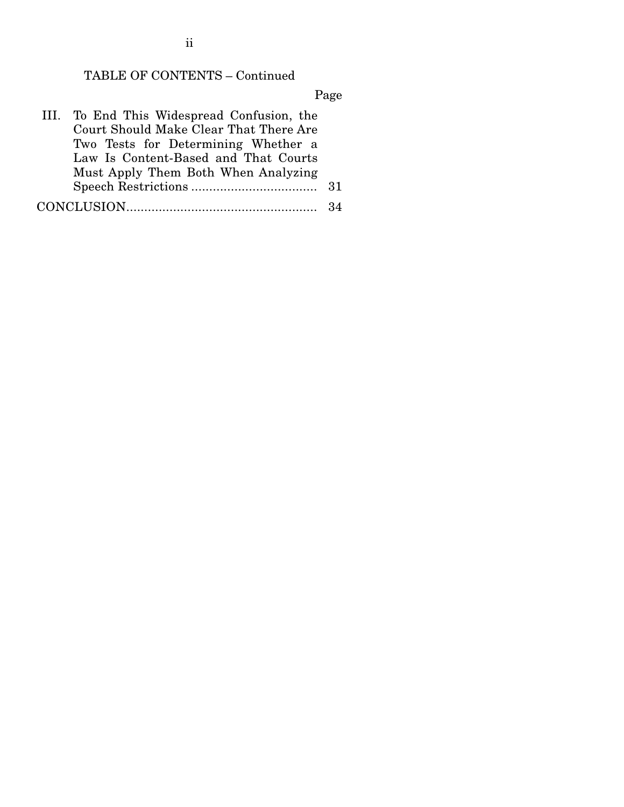# TABLE OF CONTENTS – Continued

Page

| III. To End This Widespread Confusion, the |  |
|--------------------------------------------|--|
| Court Should Make Clear That There Are     |  |
| Two Tests for Determining Whether a        |  |
| Law Is Content-Based and That Courts       |  |
| Must Apply Them Both When Analyzing        |  |
|                                            |  |
|                                            |  |

ii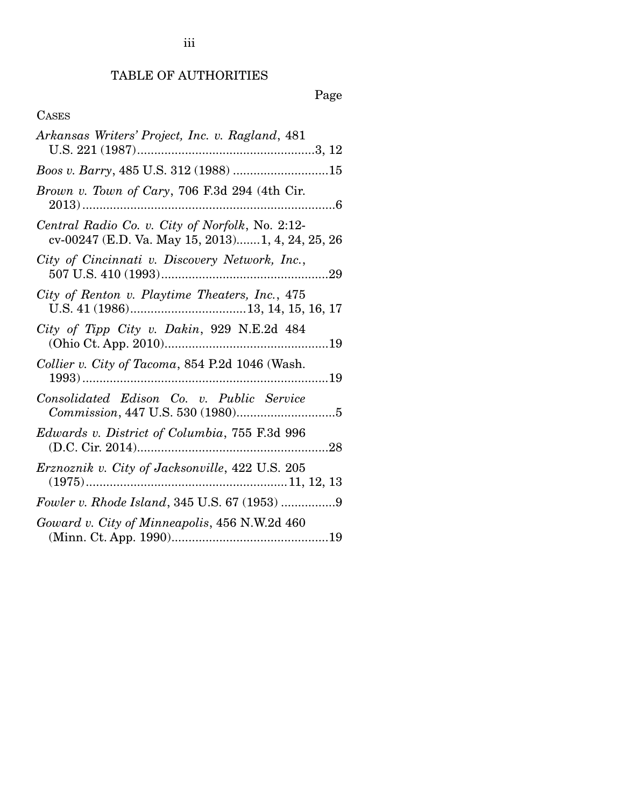# TABLE OF AUTHORITIES

# Page

# CASES

| Arkansas Writers' Project, Inc. v. Ragland, 481                                                     |
|-----------------------------------------------------------------------------------------------------|
|                                                                                                     |
| Brown v. Town of Cary, 706 F.3d 294 (4th Cir.                                                       |
| Central Radio Co. v. City of Norfolk, No. 2:12-<br>cv-00247 (E.D. Va. May 15, 2013)1, 4, 24, 25, 26 |
| City of Cincinnati v. Discovery Network, Inc.,                                                      |
| City of Renton v. Playtime Theaters, Inc., 475                                                      |
| City of Tipp City v. Dakin, 929 N.E.2d 484                                                          |
| Collier v. City of Tacoma, 854 P.2d 1046 (Wash.                                                     |
| Consolidated Edison Co. v. Public Service                                                           |
| Edwards v. District of Columbia, 755 F.3d 996                                                       |
| Erznoznik v. City of Jacksonville, 422 U.S. 205                                                     |
|                                                                                                     |
| Goward v. City of Minneapolis, 456 N.W.2d 460                                                       |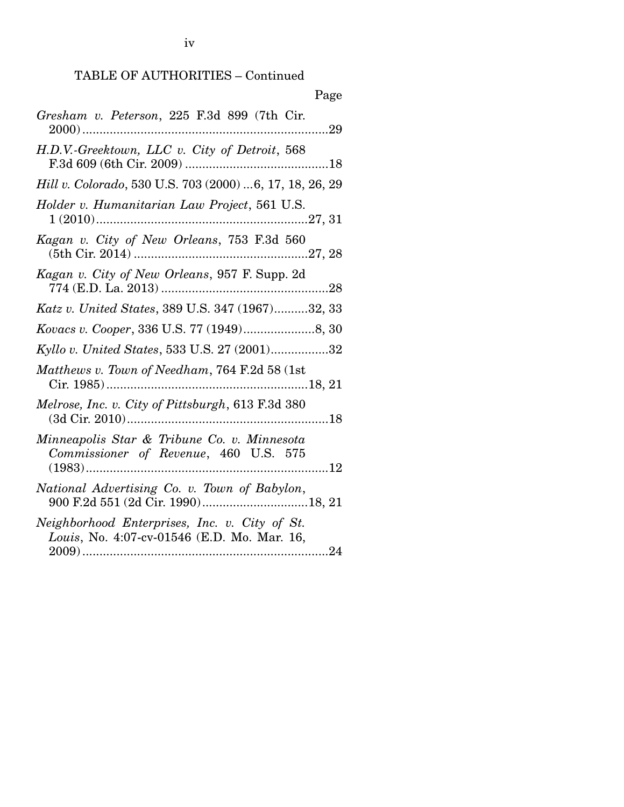| Page                                                                                         |
|----------------------------------------------------------------------------------------------|
| Gresham v. Peterson, 225 F.3d 899 (7th Cir.                                                  |
| H.D.V.-Greektown, LLC v. City of Detroit, 568                                                |
| Hill v. Colorado, 530 U.S. 703 (2000) 6, 17, 18, 26, 29                                      |
| Holder v. Humanitarian Law Project, 561 U.S.                                                 |
| Kagan v. City of New Orleans, 753 F.3d 560                                                   |
| Kagan v. City of New Orleans, 957 F. Supp. 2d                                                |
| Katz v. United States, 389 U.S. 347 (1967)32, 33                                             |
|                                                                                              |
| Kyllo v. United States, 533 U.S. 27 (2001)32                                                 |
| Matthews v. Town of Needham, 764 F.2d 58 (1st                                                |
| Melrose, Inc. v. City of Pittsburgh, 613 F.3d 380                                            |
| Minneapolis Star & Tribune Co. v. Minnesota<br>Commissioner of Revenue, 460 U.S. 575         |
| National Advertising Co. v. Town of Babylon,                                                 |
| Neighborhood Enterprises, Inc. v. City of St.<br>Louis, No. 4:07-cv-01546 (E.D. Mo. Mar. 16, |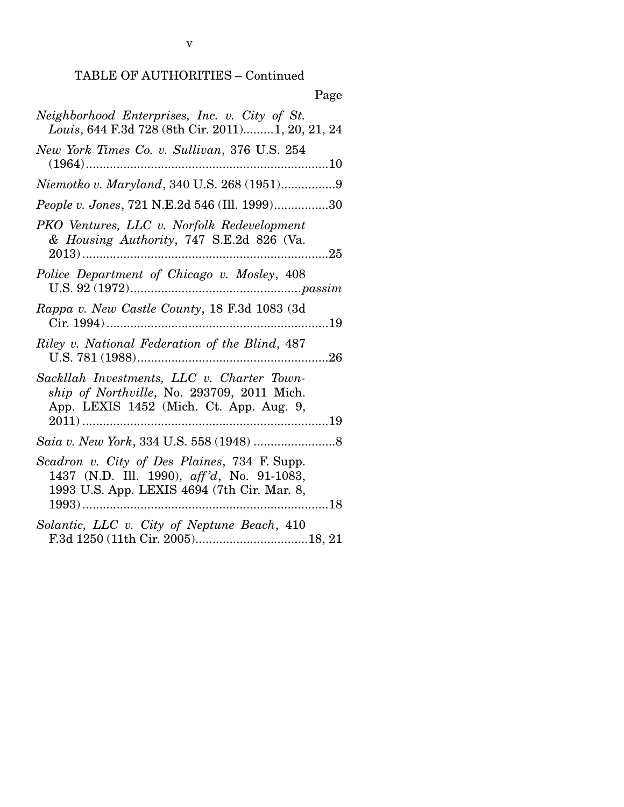TABLE OF AUTHORITIES – Continued

v

| Page                                                                                                                                      |
|-------------------------------------------------------------------------------------------------------------------------------------------|
| Neighborhood Enterprises, Inc. v. City of St.<br>Louis, 644 F.3d 728 (8th Cir. 2011) 1, 20, 21, 24                                        |
| New York Times Co. v. Sullivan, 376 U.S. 254                                                                                              |
| Niemotko v. Maryland, 340 U.S. 268 (1951)9                                                                                                |
| People v. Jones, 721 N.E.2d 546 (Ill. 1999)30                                                                                             |
| PKO Ventures, LLC v. Norfolk Redevelopment<br>& Housing Authority, 747 S.E.2d 826 (Va.<br>. 25                                            |
| Police Department of Chicago v. Mosley, 408                                                                                               |
| Rappa v. New Castle County, 18 F.3d 1083 (3d                                                                                              |
| Riley v. National Federation of the Blind, 487                                                                                            |
| Sackllah Investments, LLC v. Charter Town-<br>ship of Northville, No. 293709, 2011 Mich.<br>App. LEXIS 1452 (Mich. Ct. App. Aug. 9,       |
|                                                                                                                                           |
| Scadron v. City of Des Plaines, 734 F. Supp.<br>1437 (N.D. Ill. 1990), aff'd, No. 91-1083,<br>1993 U.S. App. LEXIS 4694 (7th Cir. Mar. 8, |
| Solantic, LLC v. City of Neptune Beach, 410                                                                                               |

 $\mathbf{p}$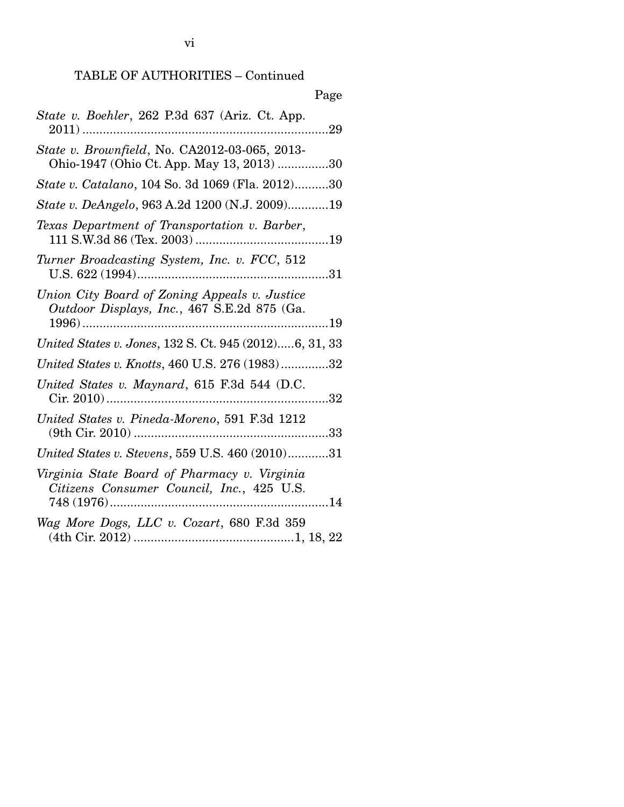| Page                                                                                         |
|----------------------------------------------------------------------------------------------|
| State v. Boehler, 262 P.3d 637 (Ariz. Ct. App.<br>$2011)$<br>.29                             |
| State v. Brownfield, No. CA2012-03-065, 2013-<br>Ohio-1947 (Ohio Ct. App. May 13, 2013) 30   |
| <i>State v. Catalano, 104 So. 3d 1069 (Fla. 2012)30</i>                                      |
| State v. DeAngelo, 963 A.2d 1200 (N.J. 2009)19                                               |
| Texas Department of Transportation v. Barber,                                                |
| Turner Broadcasting System, Inc. v. FCC, 512                                                 |
| Union City Board of Zoning Appeals v. Justice<br>Outdoor Displays, Inc., 467 S.E.2d 875 (Ga. |
| United States v. Jones, 132 S. Ct. 945 (2012)6, 31, 33                                       |
| United States v. Knotts, 460 U.S. 276 (1983)32                                               |
| United States v. Maynard, 615 F.3d 544 (D.C.<br>32                                           |
| United States v. Pineda-Moreno, 591 F.3d 1212                                                |
| United States v. Stevens, 559 U.S. 460 (2010)31                                              |
| Virginia State Board of Pharmacy v. Virginia<br>Citizens Consumer Council, Inc., 425 U.S.    |
| Wag More Dogs, LLC v. Cozart, 680 F.3d 359                                                   |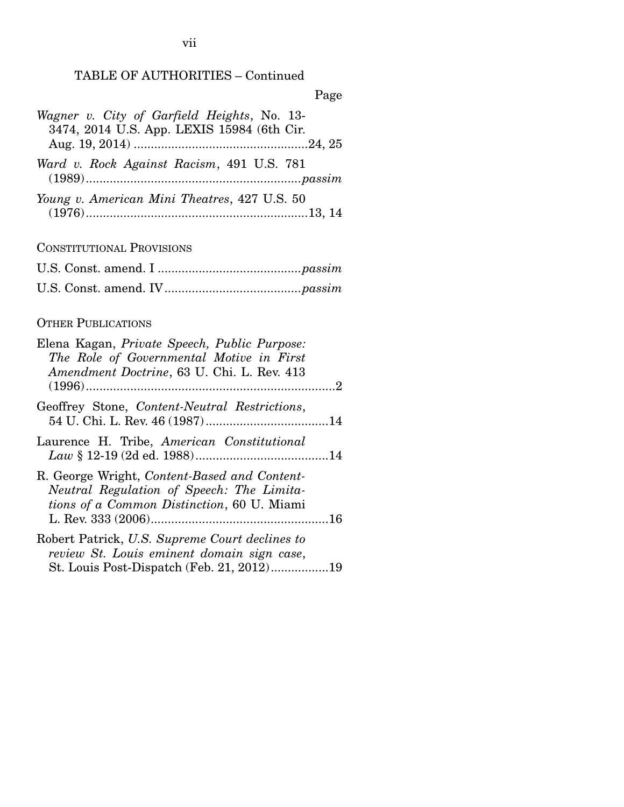# TABLE OF AUTHORITIES – Continued

| Wagner v. City of Garfield Heights, No. 13-  |
|----------------------------------------------|
| 3474, 2014 U.S. App. LEXIS 15984 (6th Cir.   |
|                                              |
| Ward v. Rock Against Racism, 491 U.S. 781    |
| Young v. American Mini Theatres, 427 U.S. 50 |
|                                              |

CONSTITUTIONAL PROVISIONS

# OTHER PUBLICATIONS

| Elena Kagan, Private Speech, Public Purpose:<br>The Role of Governmental Motive in First<br>Amendment Doctrine, 63 U. Chi. L. Rev. 413    |  |
|-------------------------------------------------------------------------------------------------------------------------------------------|--|
| Geoffrey Stone, Content-Neutral Restrictions,                                                                                             |  |
| Laurence H. Tribe, American Constitutional                                                                                                |  |
| R. George Wright, Content-Based and Content-<br>Neutral Regulation of Speech: The Limita-<br>tions of a Common Distinction, 60 U. Miami   |  |
| Robert Patrick, U.S. Supreme Court declines to<br>review St. Louis eminent domain sign case,<br>St. Louis Post-Dispatch (Feb. 21, 2012)19 |  |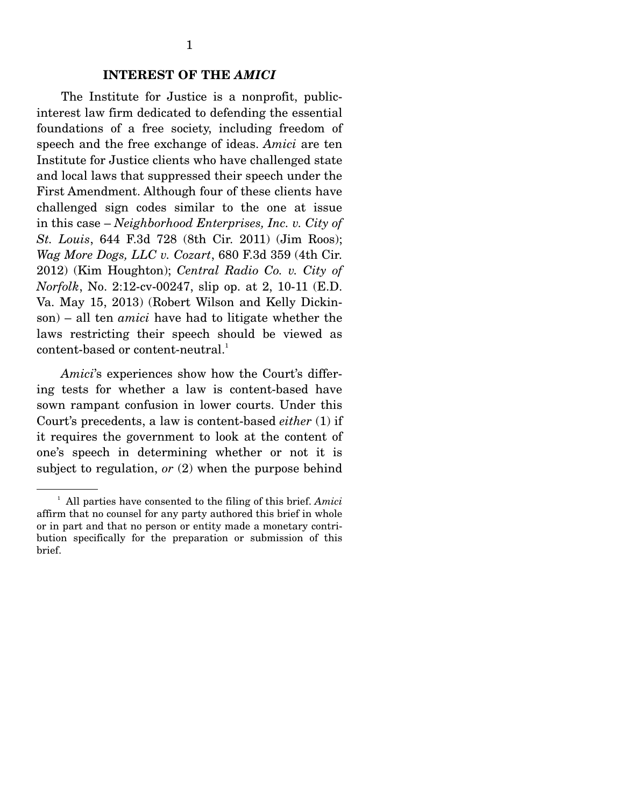### **INTEREST OF THE** *AMICI*

 The Institute for Justice is a nonprofit, publicinterest law firm dedicated to defending the essential foundations of a free society, including freedom of speech and the free exchange of ideas. *Amici* are ten Institute for Justice clients who have challenged state and local laws that suppressed their speech under the First Amendment. Although four of these clients have challenged sign codes similar to the one at issue in this case – *Neighborhood Enterprises, Inc. v. City of St. Louis*, 644 F.3d 728 (8th Cir. 2011) (Jim Roos); *Wag More Dogs, LLC v. Cozart*, 680 F.3d 359 (4th Cir. 2012) (Kim Houghton); *Central Radio Co. v. City of Norfolk*, No. 2:12-cv-00247, slip op. at 2, 10-11 (E.D. Va. May 15, 2013) (Robert Wilson and Kelly Dickinson) – all ten *amici* have had to litigate whether the laws restricting their speech should be viewed as content-based or content-neutral.<sup>1</sup>

*Amici*'s experiences show how the Court's differing tests for whether a law is content-based have sown rampant confusion in lower courts. Under this Court's precedents, a law is content-based *either* (1) if it requires the government to look at the content of one's speech in determining whether or not it is subject to regulation, *or* (2) when the purpose behind

<sup>1</sup> All parties have consented to the filing of this brief. *Amici* affirm that no counsel for any party authored this brief in whole or in part and that no person or entity made a monetary contribution specifically for the preparation or submission of this brief.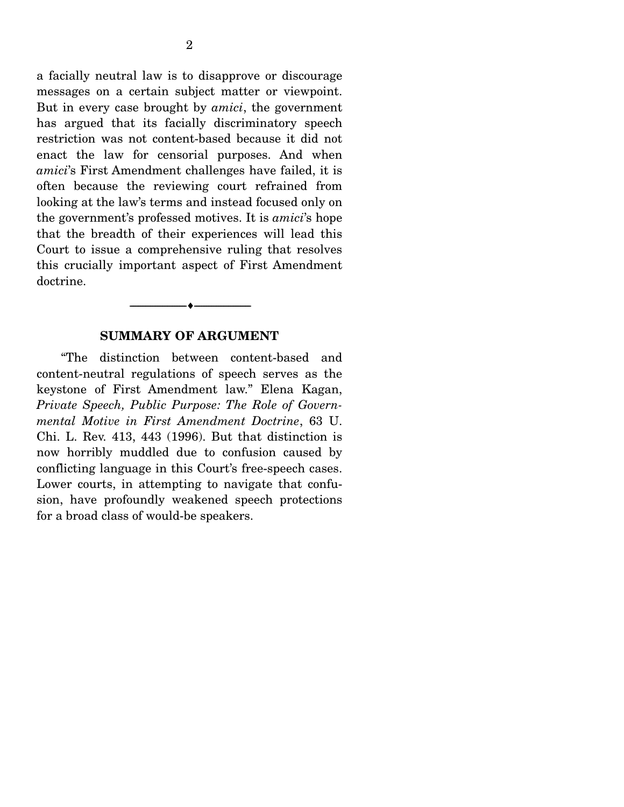a facially neutral law is to disapprove or discourage messages on a certain subject matter or viewpoint. But in every case brought by *amici*, the government has argued that its facially discriminatory speech restriction was not content-based because it did not enact the law for censorial purposes. And when *amici*'s First Amendment challenges have failed, it is often because the reviewing court refrained from looking at the law's terms and instead focused only on the government's professed motives. It is *amici*'s hope that the breadth of their experiences will lead this Court to issue a comprehensive ruling that resolves this crucially important aspect of First Amendment doctrine.

### **SUMMARY OF ARGUMENT**

--------------------------------- ---------------------------------

 "The distinction between content-based and content-neutral regulations of speech serves as the keystone of First Amendment law." Elena Kagan, *Private Speech, Public Purpose: The Role of Governmental Motive in First Amendment Doctrine*, 63 U. Chi. L. Rev. 413, 443 (1996). But that distinction is now horribly muddled due to confusion caused by conflicting language in this Court's free-speech cases. Lower courts, in attempting to navigate that confusion, have profoundly weakened speech protections for a broad class of would-be speakers.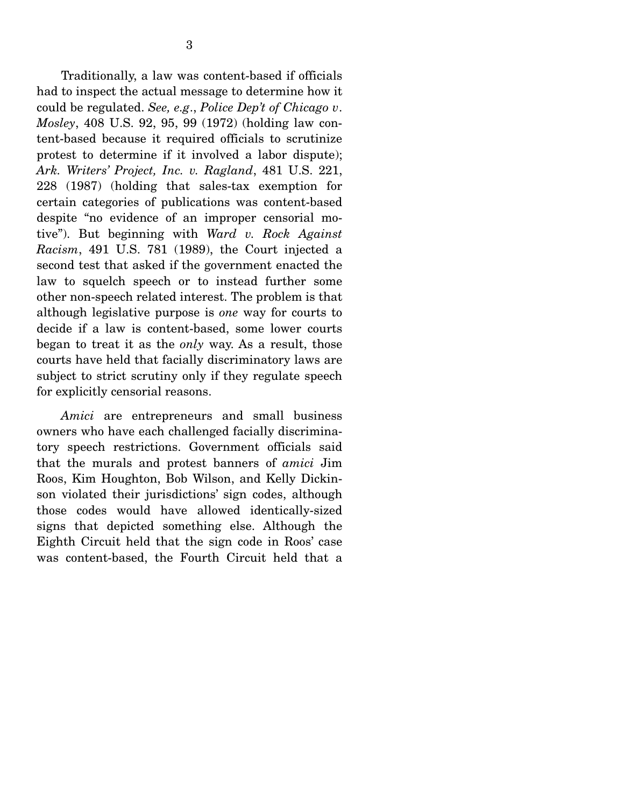Traditionally, a law was content-based if officials had to inspect the actual message to determine how it could be regulated. *See, e.g*., *Police Dep't of Chicago v*. *Mosley*, 408 U.S. 92, 95, 99 (1972) (holding law content-based because it required officials to scrutinize protest to determine if it involved a labor dispute); *Ark. Writers' Project, Inc. v. Ragland*, 481 U.S. 221, 228 (1987) (holding that sales-tax exemption for certain categories of publications was content-based despite "no evidence of an improper censorial motive"). But beginning with *Ward v. Rock Against Racism*, 491 U.S. 781 (1989), the Court injected a second test that asked if the government enacted the law to squelch speech or to instead further some other non-speech related interest. The problem is that although legislative purpose is *one* way for courts to decide if a law is content-based, some lower courts began to treat it as the *only* way. As a result, those courts have held that facially discriminatory laws are subject to strict scrutiny only if they regulate speech for explicitly censorial reasons.

*Amici* are entrepreneurs and small business owners who have each challenged facially discriminatory speech restrictions. Government officials said that the murals and protest banners of *amici* Jim Roos, Kim Houghton, Bob Wilson, and Kelly Dickinson violated their jurisdictions' sign codes, although those codes would have allowed identically-sized signs that depicted something else. Although the Eighth Circuit held that the sign code in Roos' case was content-based, the Fourth Circuit held that a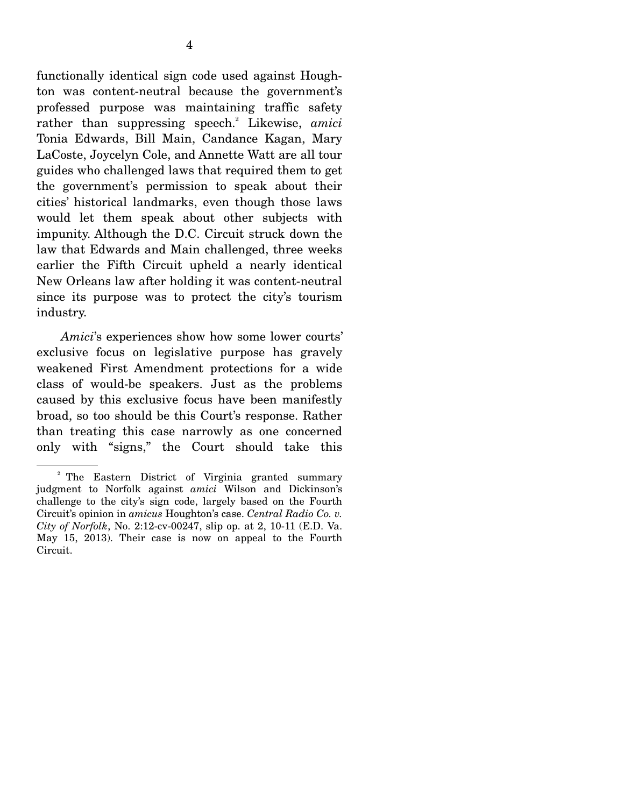functionally identical sign code used against Houghton was content-neutral because the government's professed purpose was maintaining traffic safety rather than suppressing speech.<sup>2</sup> Likewise, amici Tonia Edwards, Bill Main, Candance Kagan, Mary LaCoste, Joycelyn Cole, and Annette Watt are all tour guides who challenged laws that required them to get the government's permission to speak about their cities' historical landmarks, even though those laws would let them speak about other subjects with impunity. Although the D.C. Circuit struck down the law that Edwards and Main challenged, three weeks earlier the Fifth Circuit upheld a nearly identical New Orleans law after holding it was content-neutral since its purpose was to protect the city's tourism industry.

*Amici*'s experiences show how some lower courts' exclusive focus on legislative purpose has gravely weakened First Amendment protections for a wide class of would-be speakers. Just as the problems caused by this exclusive focus have been manifestly broad, so too should be this Court's response. Rather than treating this case narrowly as one concerned only with "signs," the Court should take this

<sup>&</sup>lt;sup>2</sup> The Eastern District of Virginia granted summary judgment to Norfolk against *amici* Wilson and Dickinson's challenge to the city's sign code, largely based on the Fourth Circuit's opinion in *amicus* Houghton's case. *Central Radio Co. v. City of Norfolk*, No. 2:12-cv-00247, slip op. at 2, 10-11 (E.D. Va. May 15, 2013). Their case is now on appeal to the Fourth Circuit.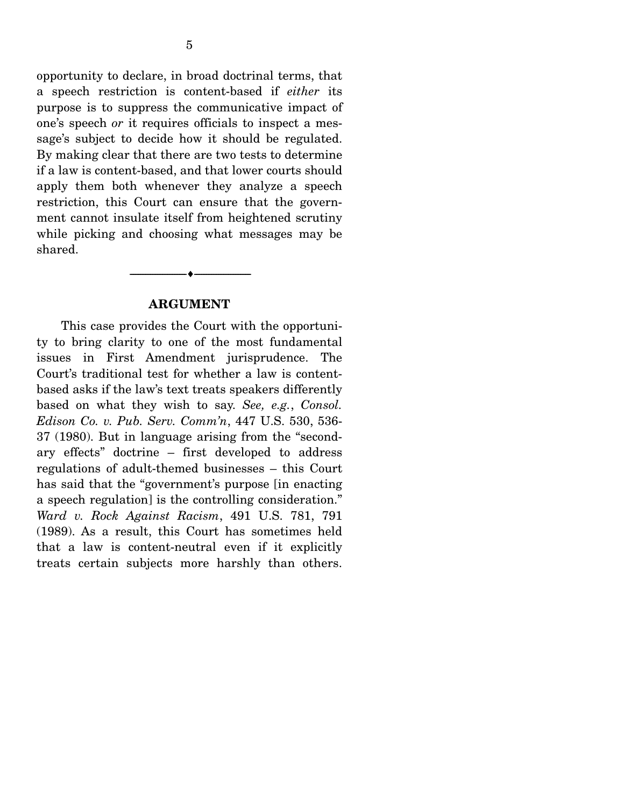opportunity to declare, in broad doctrinal terms, that a speech restriction is content-based if *either* its purpose is to suppress the communicative impact of one's speech *or* it requires officials to inspect a message's subject to decide how it should be regulated. By making clear that there are two tests to determine if a law is content-based, and that lower courts should apply them both whenever they analyze a speech restriction, this Court can ensure that the government cannot insulate itself from heightened scrutiny while picking and choosing what messages may be shared.

#### **ARGUMENT**

--------------------------------- ---------------------------------

 This case provides the Court with the opportunity to bring clarity to one of the most fundamental issues in First Amendment jurisprudence. The Court's traditional test for whether a law is contentbased asks if the law's text treats speakers differently based on what they wish to say. *See, e.g.*, *Consol. Edison Co. v. Pub. Serv. Comm'n*, 447 U.S. 530, 536- 37 (1980). But in language arising from the "secondary effects" doctrine – first developed to address regulations of adult-themed businesses – this Court has said that the "government's purpose [in enacting a speech regulation] is the controlling consideration." *Ward v. Rock Against Racism*, 491 U.S. 781, 791 (1989). As a result, this Court has sometimes held that a law is content-neutral even if it explicitly treats certain subjects more harshly than others.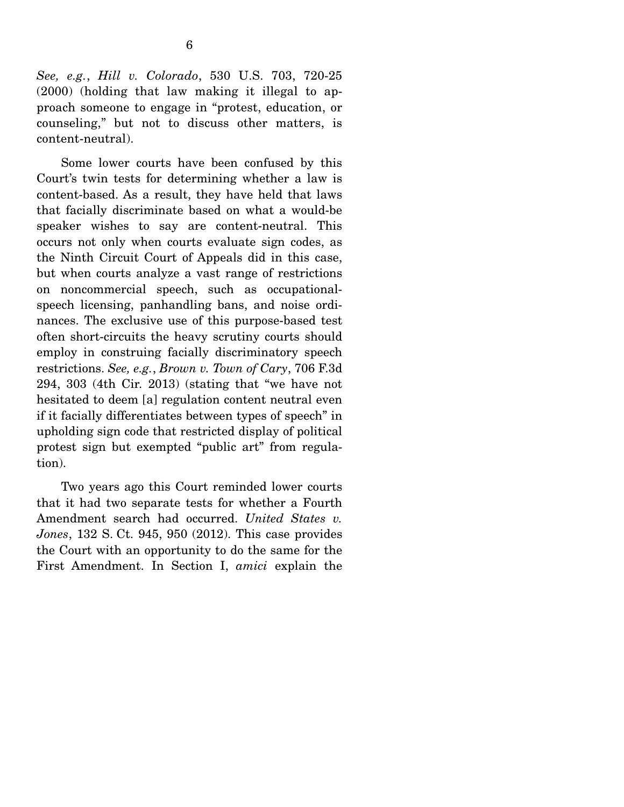Some lower courts have been confused by this Court's twin tests for determining whether a law is content-based. As a result, they have held that laws that facially discriminate based on what a would-be speaker wishes to say are content-neutral. This occurs not only when courts evaluate sign codes, as the Ninth Circuit Court of Appeals did in this case, but when courts analyze a vast range of restrictions on noncommercial speech, such as occupationalspeech licensing, panhandling bans, and noise ordinances. The exclusive use of this purpose-based test often short-circuits the heavy scrutiny courts should employ in construing facially discriminatory speech restrictions. *See, e.g.*, *Brown v. Town of Cary*, 706 F.3d 294, 303 (4th Cir. 2013) (stating that "we have not hesitated to deem [a] regulation content neutral even if it facially differentiates between types of speech" in upholding sign code that restricted display of political protest sign but exempted "public art" from regulation).

 Two years ago this Court reminded lower courts that it had two separate tests for whether a Fourth Amendment search had occurred. *United States v. Jones*, 132 S. Ct. 945, 950 (2012). This case provides the Court with an opportunity to do the same for the First Amendment. In Section I, *amici* explain the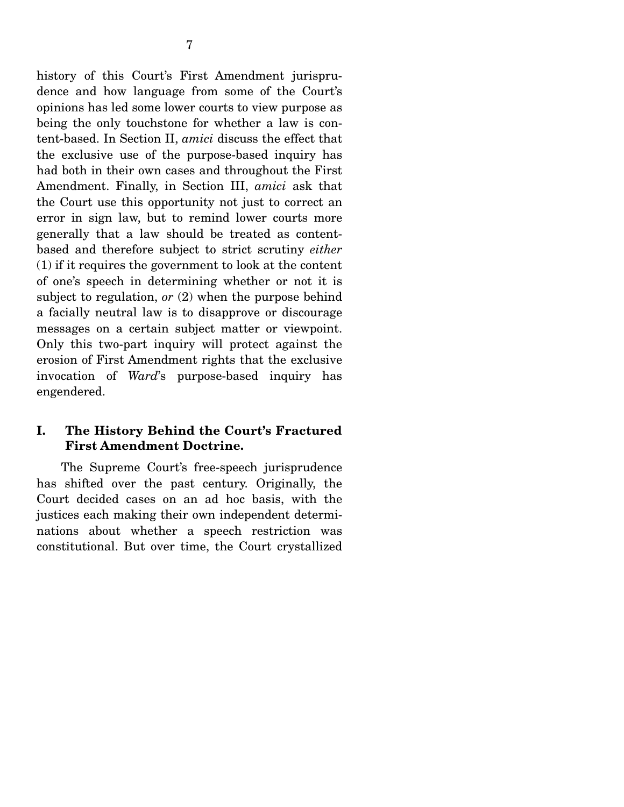history of this Court's First Amendment jurisprudence and how language from some of the Court's opinions has led some lower courts to view purpose as being the only touchstone for whether a law is content-based. In Section II, *amici* discuss the effect that the exclusive use of the purpose-based inquiry has had both in their own cases and throughout the First Amendment. Finally, in Section III, *amici* ask that the Court use this opportunity not just to correct an error in sign law, but to remind lower courts more generally that a law should be treated as contentbased and therefore subject to strict scrutiny *either* (1) if it requires the government to look at the content of one's speech in determining whether or not it is subject to regulation, *or* (2) when the purpose behind a facially neutral law is to disapprove or discourage messages on a certain subject matter or viewpoint. Only this two-part inquiry will protect against the erosion of First Amendment rights that the exclusive invocation of *Ward*'s purpose-based inquiry has engendered.

# **I. The History Behind the Court's Fractured First Amendment Doctrine.**

 The Supreme Court's free-speech jurisprudence has shifted over the past century. Originally, the Court decided cases on an ad hoc basis, with the justices each making their own independent determinations about whether a speech restriction was constitutional. But over time, the Court crystallized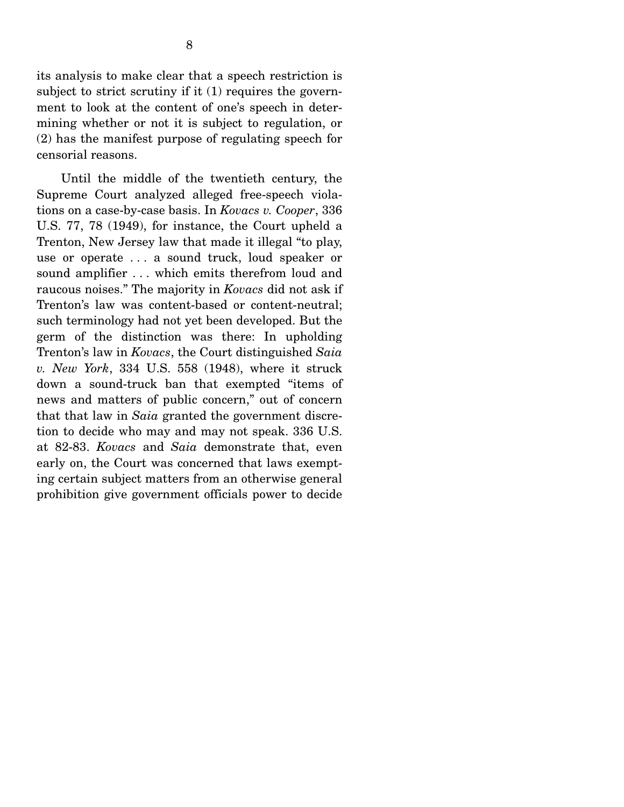its analysis to make clear that a speech restriction is subject to strict scrutiny if it (1) requires the government to look at the content of one's speech in determining whether or not it is subject to regulation, or (2) has the manifest purpose of regulating speech for censorial reasons.

 Until the middle of the twentieth century, the Supreme Court analyzed alleged free-speech violations on a case-by-case basis. In *Kovacs v. Cooper*, 336 U.S. 77, 78 (1949), for instance, the Court upheld a Trenton, New Jersey law that made it illegal "to play, use or operate . . . a sound truck, loud speaker or sound amplifier . . . which emits therefrom loud and raucous noises." The majority in *Kovacs* did not ask if Trenton's law was content-based or content-neutral; such terminology had not yet been developed. But the germ of the distinction was there: In upholding Trenton's law in *Kovacs*, the Court distinguished *Saia v. New York*, 334 U.S. 558 (1948), where it struck down a sound-truck ban that exempted "items of news and matters of public concern," out of concern that that law in *Saia* granted the government discretion to decide who may and may not speak. 336 U.S. at 82-83. *Kovacs* and *Saia* demonstrate that, even early on, the Court was concerned that laws exempting certain subject matters from an otherwise general prohibition give government officials power to decide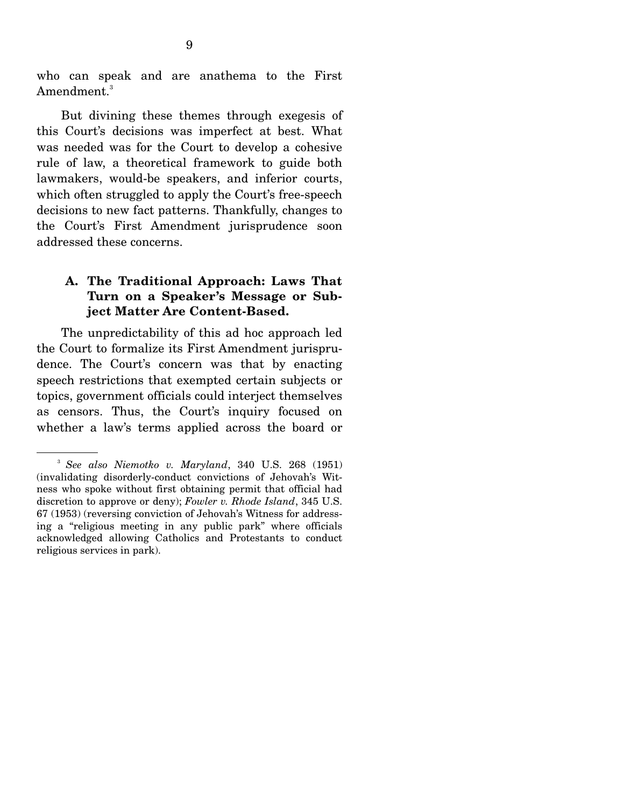who can speak and are anathema to the First Amendment.<sup>3</sup>

 But divining these themes through exegesis of this Court's decisions was imperfect at best. What was needed was for the Court to develop a cohesive rule of law, a theoretical framework to guide both lawmakers, would-be speakers, and inferior courts, which often struggled to apply the Court's free-speech decisions to new fact patterns. Thankfully, changes to the Court's First Amendment jurisprudence soon addressed these concerns.

# **A. The Traditional Approach: Laws That Turn on a Speaker's Message or Subject Matter Are Content-Based.**

 The unpredictability of this ad hoc approach led the Court to formalize its First Amendment jurisprudence. The Court's concern was that by enacting speech restrictions that exempted certain subjects or topics, government officials could interject themselves as censors. Thus, the Court's inquiry focused on whether a law's terms applied across the board or

<sup>3</sup> *See also Niemotko v. Maryland*, 340 U.S. 268 (1951) (invalidating disorderly-conduct convictions of Jehovah's Witness who spoke without first obtaining permit that official had discretion to approve or deny); *Fowler v. Rhode Island*, 345 U.S. 67 (1953) (reversing conviction of Jehovah's Witness for addressing a "religious meeting in any public park" where officials acknowledged allowing Catholics and Protestants to conduct religious services in park).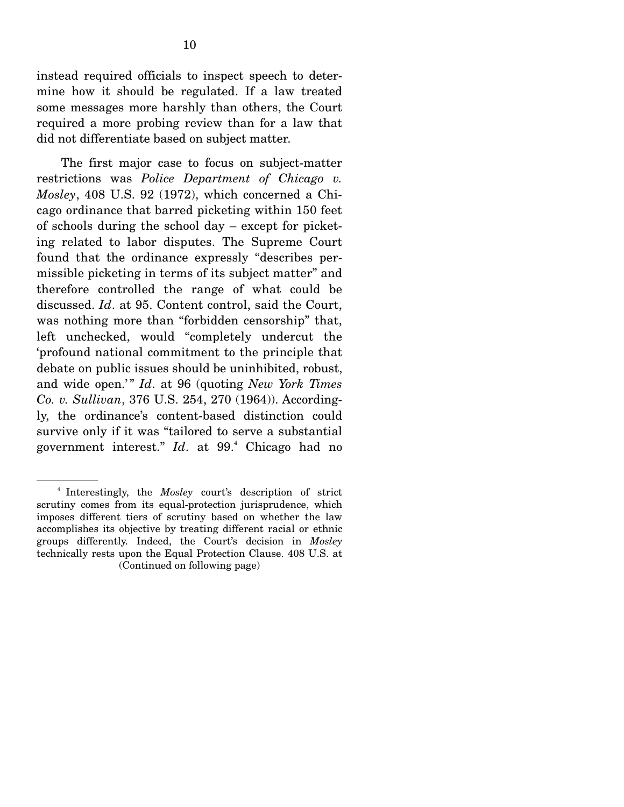instead required officials to inspect speech to determine how it should be regulated. If a law treated some messages more harshly than others, the Court required a more probing review than for a law that did not differentiate based on subject matter.

 The first major case to focus on subject-matter restrictions was *Police Department of Chicago v. Mosley*, 408 U.S. 92 (1972), which concerned a Chicago ordinance that barred picketing within 150 feet of schools during the school day – except for picketing related to labor disputes. The Supreme Court found that the ordinance expressly "describes permissible picketing in terms of its subject matter" and therefore controlled the range of what could be discussed. *Id*. at 95. Content control, said the Court, was nothing more than "forbidden censorship" that, left unchecked, would "completely undercut the 'profound national commitment to the principle that debate on public issues should be uninhibited, robust, and wide open.'" *Id.* at 96 (quoting *New York Times Co. v. Sullivan*, 376 U.S. 254, 270 (1964)). Accordingly, the ordinance's content-based distinction could survive only if it was "tailored to serve a substantial government interest." *Id*. at 99.4 Chicago had no

<sup>4</sup> Interestingly, the *Mosley* court's description of strict scrutiny comes from its equal-protection jurisprudence, which imposes different tiers of scrutiny based on whether the law accomplishes its objective by treating different racial or ethnic groups differently. Indeed, the Court's decision in *Mosley* technically rests upon the Equal Protection Clause. 408 U.S. at (Continued on following page)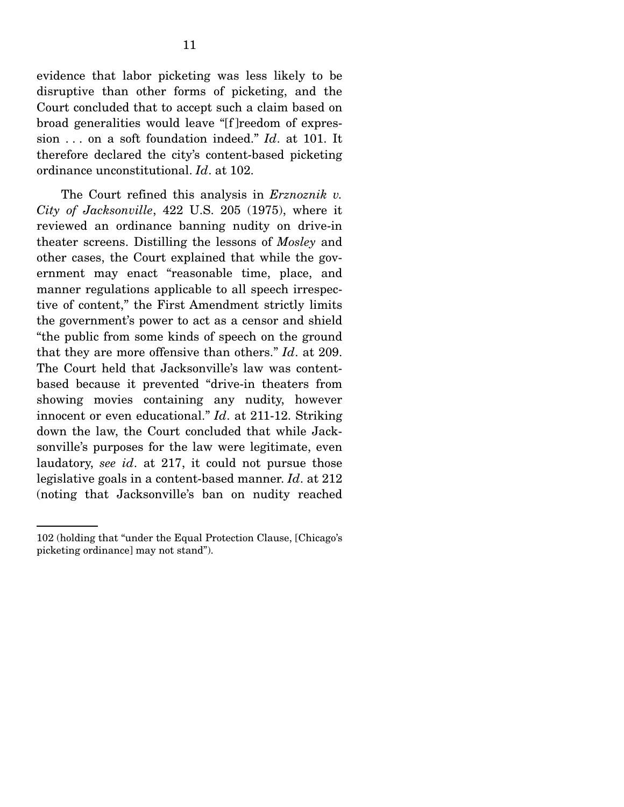evidence that labor picketing was less likely to be disruptive than other forms of picketing, and the Court concluded that to accept such a claim based on broad generalities would leave "[f ]reedom of expression . . . on a soft foundation indeed." *Id*. at 101. It therefore declared the city's content-based picketing ordinance unconstitutional. *Id*. at 102.

 The Court refined this analysis in *Erznoznik v. City of Jacksonville*, 422 U.S. 205 (1975), where it reviewed an ordinance banning nudity on drive-in theater screens. Distilling the lessons of *Mosley* and other cases, the Court explained that while the government may enact "reasonable time, place, and manner regulations applicable to all speech irrespective of content," the First Amendment strictly limits the government's power to act as a censor and shield "the public from some kinds of speech on the ground that they are more offensive than others." *Id*. at 209. The Court held that Jacksonville's law was contentbased because it prevented "drive-in theaters from showing movies containing any nudity, however innocent or even educational." *Id*. at 211-12. Striking down the law, the Court concluded that while Jacksonville's purposes for the law were legitimate, even laudatory, *see id*. at 217, it could not pursue those legislative goals in a content-based manner. *Id*. at 212 (noting that Jacksonville's ban on nudity reached

<sup>102 (</sup>holding that "under the Equal Protection Clause, [Chicago's picketing ordinance] may not stand").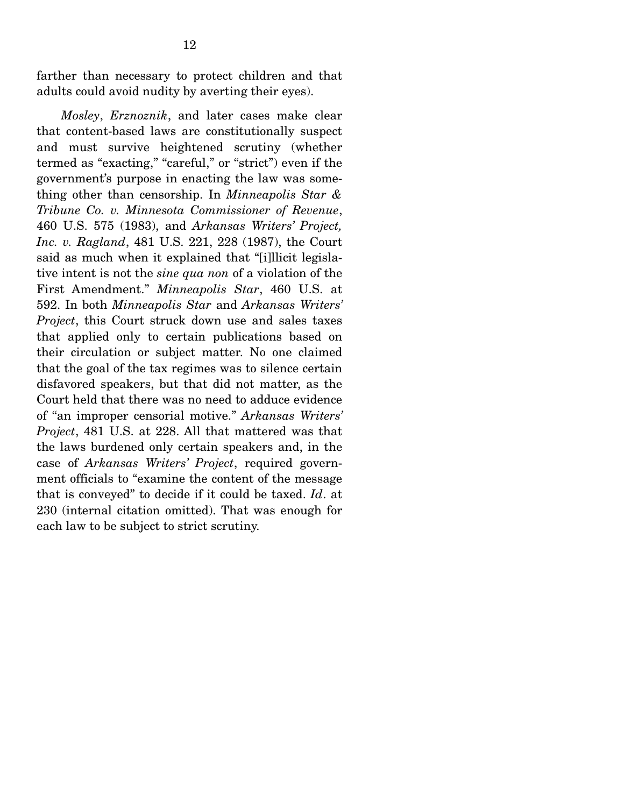farther than necessary to protect children and that adults could avoid nudity by averting their eyes).

*Mosley*, *Erznoznik*, and later cases make clear that content-based laws are constitutionally suspect and must survive heightened scrutiny (whether termed as "exacting," "careful," or "strict") even if the government's purpose in enacting the law was something other than censorship. In *Minneapolis Star & Tribune Co. v. Minnesota Commissioner of Revenue*, 460 U.S. 575 (1983), and *Arkansas Writers' Project, Inc. v. Ragland*, 481 U.S. 221, 228 (1987), the Court said as much when it explained that "[i]llicit legislative intent is not the *sine qua non* of a violation of the First Amendment." *Minneapolis Star*, 460 U.S. at 592. In both *Minneapolis Star* and *Arkansas Writers' Project*, this Court struck down use and sales taxes that applied only to certain publications based on their circulation or subject matter. No one claimed that the goal of the tax regimes was to silence certain disfavored speakers, but that did not matter, as the Court held that there was no need to adduce evidence of "an improper censorial motive." *Arkansas Writers' Project*, 481 U.S. at 228. All that mattered was that the laws burdened only certain speakers and, in the case of *Arkansas Writers' Project*, required government officials to "examine the content of the message that is conveyed" to decide if it could be taxed. *Id*. at 230 (internal citation omitted). That was enough for each law to be subject to strict scrutiny.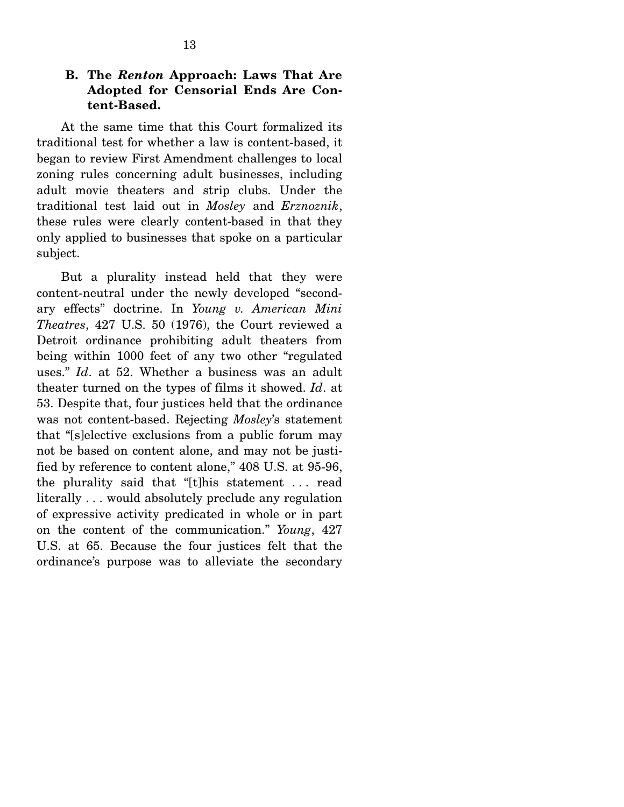### **B. The** *Renton* **Approach: Laws That Are Adopted for Censorial Ends Are Content-Based.**

 At the same time that this Court formalized its traditional test for whether a law is content-based, it began to review First Amendment challenges to local zoning rules concerning adult businesses, including adult movie theaters and strip clubs. Under the traditional test laid out in *Mosley* and *Erznoznik*, these rules were clearly content-based in that they only applied to businesses that spoke on a particular subject.

 But a plurality instead held that they were content-neutral under the newly developed "secondary effects" doctrine. In *Young v. American Mini Theatres*, 427 U.S. 50 (1976), the Court reviewed a Detroit ordinance prohibiting adult theaters from being within 1000 feet of any two other "regulated uses." *Id*. at 52. Whether a business was an adult theater turned on the types of films it showed. *Id*. at 53. Despite that, four justices held that the ordinance was not content-based. Rejecting *Mosley*'s statement that "[s]elective exclusions from a public forum may not be based on content alone, and may not be justified by reference to content alone," 408 U.S. at 95-96, the plurality said that "[t]his statement . . . read literally . . . would absolutely preclude any regulation of expressive activity predicated in whole or in part on the content of the communication." *Young*, 427 U.S. at 65. Because the four justices felt that the ordinance's purpose was to alleviate the secondary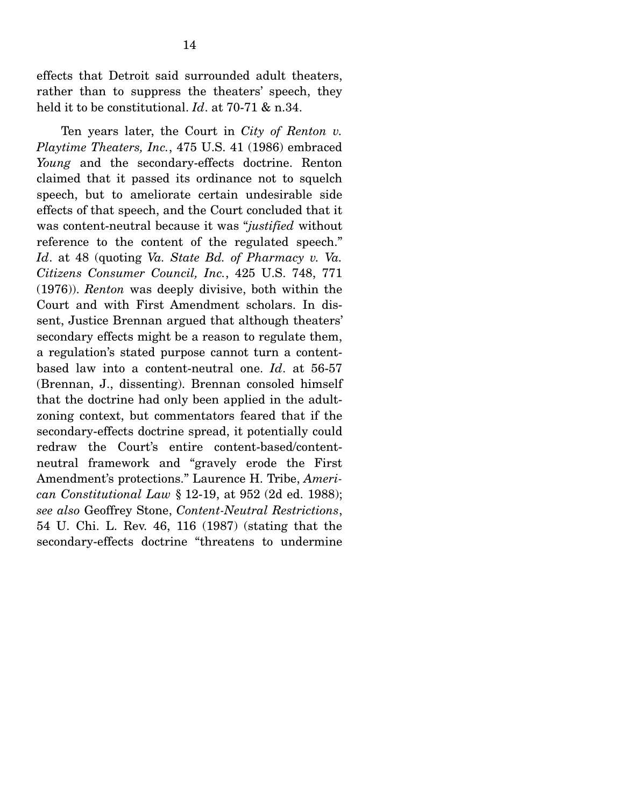effects that Detroit said surrounded adult theaters, rather than to suppress the theaters' speech, they held it to be constitutional. *Id*. at 70-71 & n.34.

 Ten years later, the Court in *City of Renton v. Playtime Theaters, Inc.*, 475 U.S. 41 (1986) embraced *Young* and the secondary-effects doctrine. Renton claimed that it passed its ordinance not to squelch speech, but to ameliorate certain undesirable side effects of that speech, and the Court concluded that it was content-neutral because it was "*justified* without reference to the content of the regulated speech." *Id*. at 48 (quoting *Va. State Bd. of Pharmacy v. Va. Citizens Consumer Council, Inc.*, 425 U.S. 748, 771 (1976)). *Renton* was deeply divisive, both within the Court and with First Amendment scholars. In dissent, Justice Brennan argued that although theaters' secondary effects might be a reason to regulate them, a regulation's stated purpose cannot turn a contentbased law into a content-neutral one. *Id*. at 56-57 (Brennan, J., dissenting). Brennan consoled himself that the doctrine had only been applied in the adultzoning context, but commentators feared that if the secondary-effects doctrine spread, it potentially could redraw the Court's entire content-based/contentneutral framework and "gravely erode the First Amendment's protections." Laurence H. Tribe, *American Constitutional Law* § 12-19, at 952 (2d ed. 1988); *see also* Geoffrey Stone, *Content-Neutral Restrictions*, 54 U. Chi. L. Rev. 46, 116 (1987) (stating that the secondary-effects doctrine "threatens to undermine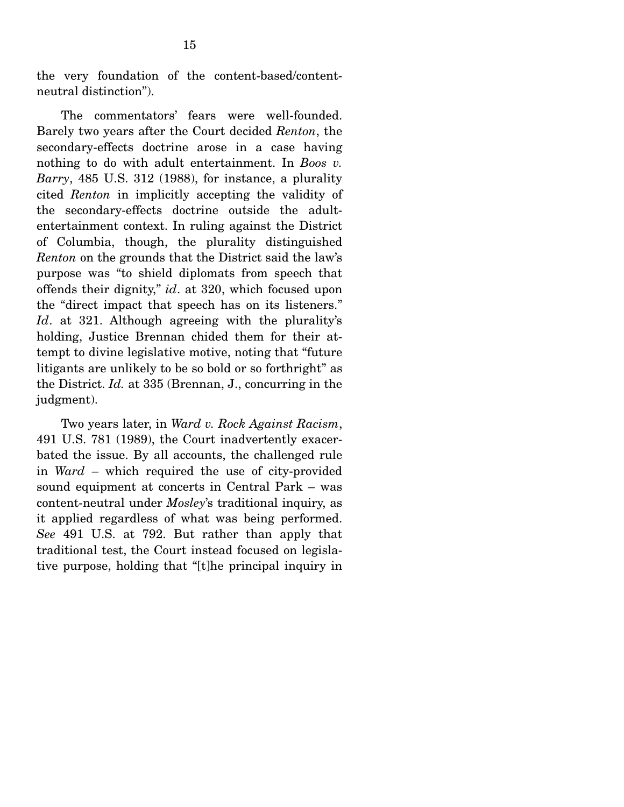the very foundation of the content-based/contentneutral distinction").

 The commentators' fears were well-founded. Barely two years after the Court decided *Renton*, the secondary-effects doctrine arose in a case having nothing to do with adult entertainment. In *Boos v. Barry*, 485 U.S. 312 (1988), for instance, a plurality cited *Renton* in implicitly accepting the validity of the secondary-effects doctrine outside the adultentertainment context. In ruling against the District of Columbia, though, the plurality distinguished *Renton* on the grounds that the District said the law's purpose was "to shield diplomats from speech that offends their dignity," *id*. at 320, which focused upon the "direct impact that speech has on its listeners." Id. at 321. Although agreeing with the plurality's holding, Justice Brennan chided them for their attempt to divine legislative motive, noting that "future litigants are unlikely to be so bold or so forthright" as the District. *Id.* at 335 (Brennan, J., concurring in the judgment).

 Two years later, in *Ward v. Rock Against Racism*, 491 U.S. 781 (1989), the Court inadvertently exacerbated the issue. By all accounts, the challenged rule in *Ward* – which required the use of city-provided sound equipment at concerts in Central Park – was content-neutral under *Mosley*'s traditional inquiry, as it applied regardless of what was being performed. *See* 491 U.S. at 792. But rather than apply that traditional test, the Court instead focused on legislative purpose, holding that "[t]he principal inquiry in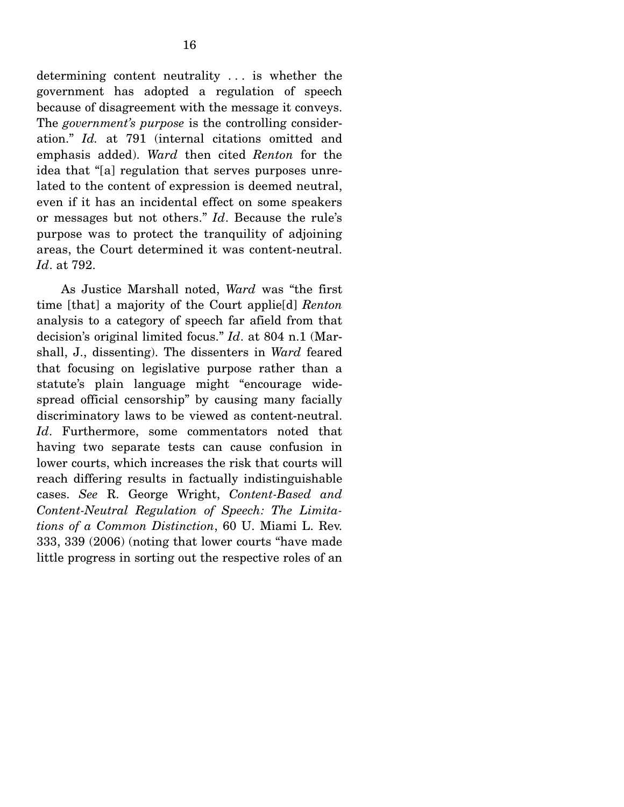determining content neutrality . . . is whether the government has adopted a regulation of speech because of disagreement with the message it conveys. The *government's purpose* is the controlling consideration." *Id.* at 791 (internal citations omitted and emphasis added). *Ward* then cited *Renton* for the idea that "[a] regulation that serves purposes unrelated to the content of expression is deemed neutral, even if it has an incidental effect on some speakers or messages but not others." *Id*. Because the rule's purpose was to protect the tranquility of adjoining areas, the Court determined it was content-neutral. *Id*. at 792.

 As Justice Marshall noted, *Ward* was "the first time [that] a majority of the Court applie[d] *Renton* analysis to a category of speech far afield from that decision's original limited focus." *Id*. at 804 n.1 (Marshall, J., dissenting). The dissenters in *Ward* feared that focusing on legislative purpose rather than a statute's plain language might "encourage widespread official censorship" by causing many facially discriminatory laws to be viewed as content-neutral. *Id*. Furthermore, some commentators noted that having two separate tests can cause confusion in lower courts, which increases the risk that courts will reach differing results in factually indistinguishable cases. *See* R. George Wright, *Content-Based and Content-Neutral Regulation of Speech: The Limitations of a Common Distinction*, 60 U. Miami L. Rev. 333, 339 (2006) (noting that lower courts "have made little progress in sorting out the respective roles of an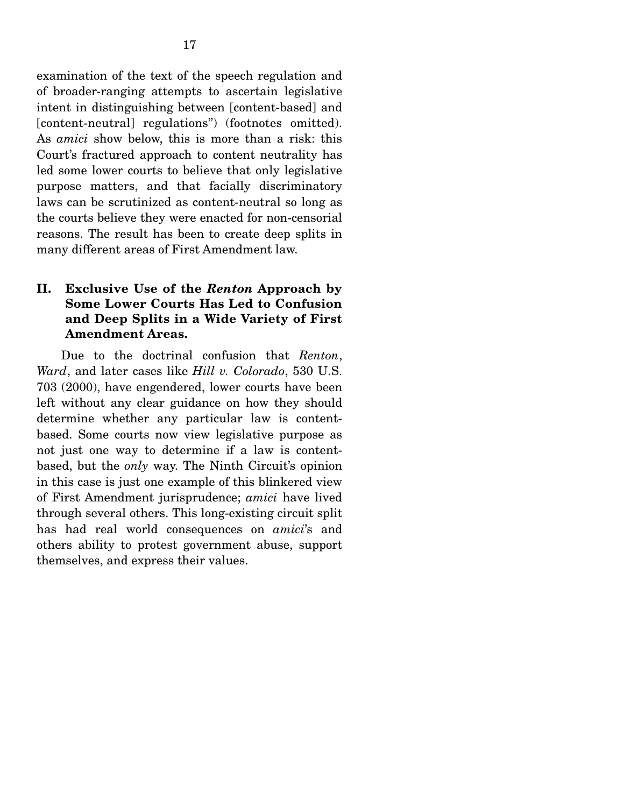examination of the text of the speech regulation and of broader-ranging attempts to ascertain legislative intent in distinguishing between [content-based] and [content-neutral] regulations") (footnotes omitted). As *amici* show below, this is more than a risk: this Court's fractured approach to content neutrality has led some lower courts to believe that only legislative purpose matters, and that facially discriminatory laws can be scrutinized as content-neutral so long as the courts believe they were enacted for non-censorial reasons. The result has been to create deep splits in many different areas of First Amendment law.

## **II. Exclusive Use of the** *Renton* **Approach by Some Lower Courts Has Led to Confusion and Deep Splits in a Wide Variety of First Amendment Areas.**

 Due to the doctrinal confusion that *Renton*, *Ward*, and later cases like *Hill v. Colorado*, 530 U.S. 703 (2000), have engendered, lower courts have been left without any clear guidance on how they should determine whether any particular law is contentbased. Some courts now view legislative purpose as not just one way to determine if a law is contentbased, but the *only* way. The Ninth Circuit's opinion in this case is just one example of this blinkered view of First Amendment jurisprudence; *amici* have lived through several others. This long-existing circuit split has had real world consequences on *amici*'s and others ability to protest government abuse, support themselves, and express their values.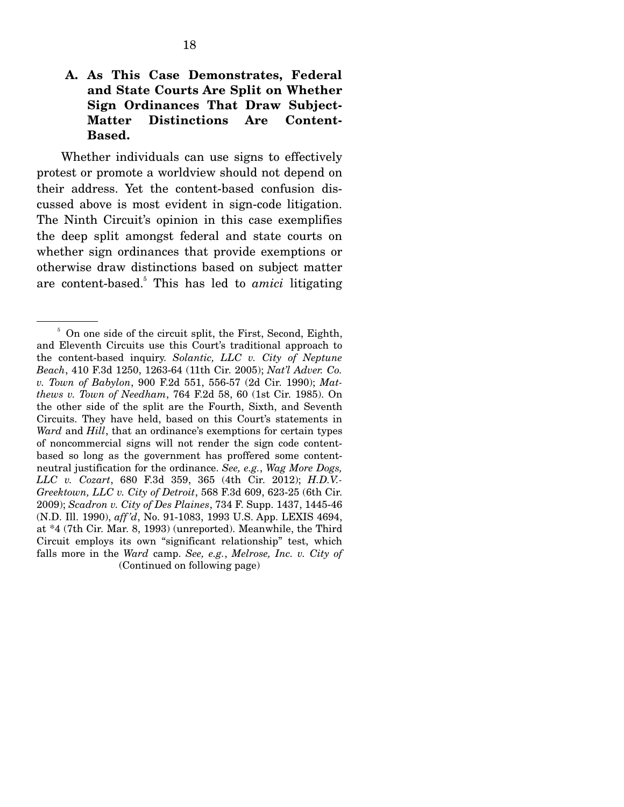Whether individuals can use signs to effectively protest or promote a worldview should not depend on their address. Yet the content-based confusion discussed above is most evident in sign-code litigation. The Ninth Circuit's opinion in this case exemplifies the deep split amongst federal and state courts on whether sign ordinances that provide exemptions or otherwise draw distinctions based on subject matter are content-based.<sup>5</sup> This has led to *amici* litigating

<sup>&</sup>lt;sup>5</sup> On one side of the circuit split, the First, Second, Eighth, and Eleventh Circuits use this Court's traditional approach to the content-based inquiry. *Solantic, LLC v. City of Neptune Beach*, 410 F.3d 1250, 1263-64 (11th Cir. 2005); *Nat'l Adver. Co. v. Town of Babylon*, 900 F.2d 551, 556-57 (2d Cir. 1990); *Matthews v. Town of Needham*, 764 F.2d 58, 60 (1st Cir. 1985). On the other side of the split are the Fourth, Sixth, and Seventh Circuits. They have held, based on this Court's statements in *Ward* and *Hill*, that an ordinance's exemptions for certain types of noncommercial signs will not render the sign code contentbased so long as the government has proffered some contentneutral justification for the ordinance. *See, e.g.*, *Wag More Dogs, LLC v. Cozart*, 680 F.3d 359, 365 (4th Cir. 2012); *H.D.V.- Greektown, LLC v. City of Detroit*, 568 F.3d 609, 623-25 (6th Cir. 2009); *Scadron v. City of Des Plaines*, 734 F. Supp. 1437, 1445-46 (N.D. Ill. 1990), *aff 'd*, No. 91-1083, 1993 U.S. App. LEXIS 4694, at \*4 (7th Cir. Mar. 8, 1993) (unreported). Meanwhile, the Third Circuit employs its own "significant relationship" test, which falls more in the *Ward* camp. *See, e.g.*, *Melrose, Inc. v. City of*  (Continued on following page)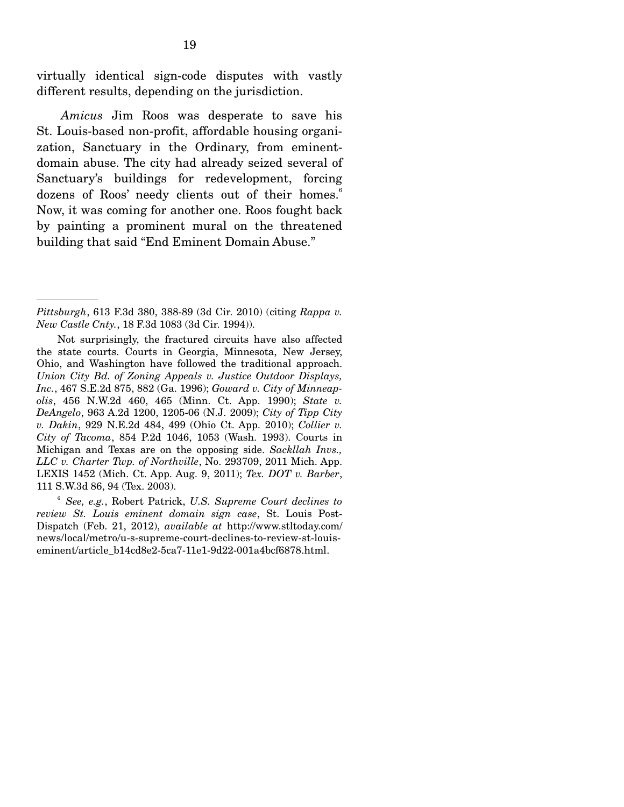virtually identical sign-code disputes with vastly different results, depending on the jurisdiction.

*Amicus* Jim Roos was desperate to save his St. Louis-based non-profit, affordable housing organization, Sanctuary in the Ordinary, from eminentdomain abuse. The city had already seized several of Sanctuary's buildings for redevelopment, forcing dozens of Roos' needy clients out of their homes.<sup>6</sup> Now, it was coming for another one. Roos fought back by painting a prominent mural on the threatened building that said "End Eminent Domain Abuse."

*Pittsburgh*, 613 F.3d 380, 388-89 (3d Cir. 2010) (citing *Rappa v. New Castle Cnty.*, 18 F.3d 1083 (3d Cir. 1994)).

Not surprisingly, the fractured circuits have also affected the state courts. Courts in Georgia, Minnesota, New Jersey, Ohio, and Washington have followed the traditional approach. *Union City Bd. of Zoning Appeals v. Justice Outdoor Displays, Inc.*, 467 S.E.2d 875, 882 (Ga. 1996); *Goward v. City of Minneapolis*, 456 N.W.2d 460, 465 (Minn. Ct. App. 1990); *State v. DeAngelo*, 963 A.2d 1200, 1205-06 (N.J. 2009); *City of Tipp City v. Dakin*, 929 N.E.2d 484, 499 (Ohio Ct. App. 2010); *Collier v. City of Tacoma*, 854 P.2d 1046, 1053 (Wash. 1993). Courts in Michigan and Texas are on the opposing side. *Sackllah Invs., LLC v. Charter Twp. of Northville*, No. 293709, 2011 Mich. App. LEXIS 1452 (Mich. Ct. App. Aug. 9, 2011); *Tex. DOT v. Barber*, 111 S.W.3d 86, 94 (Tex. 2003).

<sup>6</sup> *See, e.g.*, Robert Patrick, *U.S. Supreme Court declines to review St. Louis eminent domain sign case*, St. Louis Post-Dispatch (Feb. 21, 2012), *available at* http://www.stltoday.com/ news/local/metro/u-s-supreme-court-declines-to-review-st-louiseminent/article\_b14cd8e2-5ca7-11e1-9d22-001a4bcf6878.html.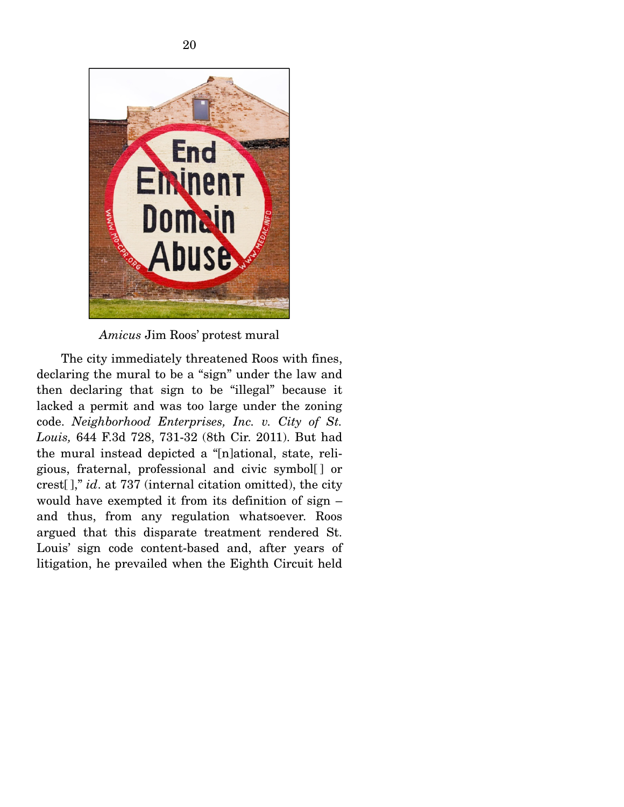

*Amicus* Jim Roos' protest mural

 The city immediately threatened Roos with fines, declaring the mural to be a "sign" under the law and then declaring that sign to be "illegal" because it lacked a permit and was too large under the zoning code. *Neighborhood Enterprises, Inc. v. City of St. Louis,* 644 F.3d 728, 731-32 (8th Cir. 2011). But had the mural instead depicted a "[n]ational, state, religious, fraternal, professional and civic symbol[ ] or crest[ ]," *id*. at 737 (internal citation omitted), the city would have exempted it from its definition of sign – and thus, from any regulation whatsoever. Roos argued that this disparate treatment rendered St. Louis' sign code content-based and, after years of litigation, he prevailed when the Eighth Circuit held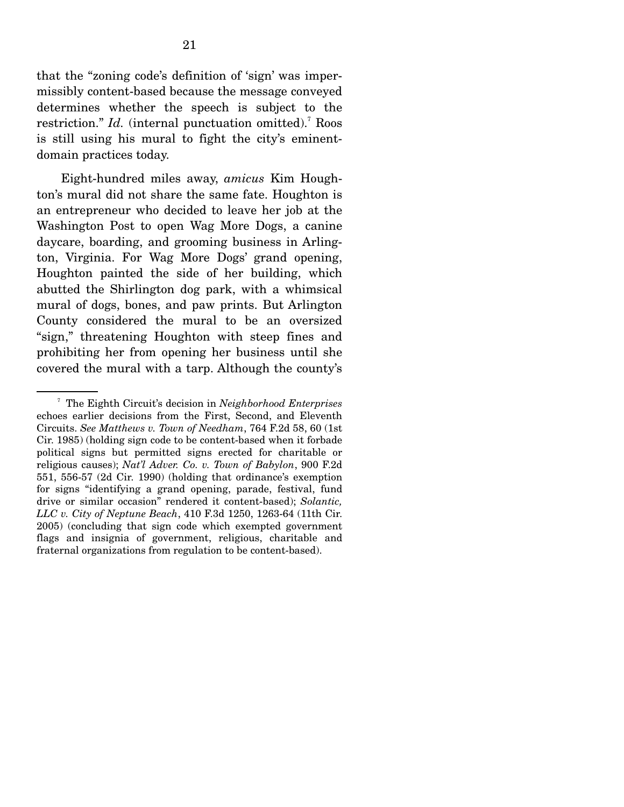that the "zoning code's definition of 'sign' was impermissibly content-based because the message conveyed determines whether the speech is subject to the restriction." *Id.* (internal punctuation omitted).<sup>7</sup> Roos is still using his mural to fight the city's eminentdomain practices today.

 Eight-hundred miles away, *amicus* Kim Houghton's mural did not share the same fate. Houghton is an entrepreneur who decided to leave her job at the Washington Post to open Wag More Dogs, a canine daycare, boarding, and grooming business in Arlington, Virginia. For Wag More Dogs' grand opening, Houghton painted the side of her building, which abutted the Shirlington dog park, with a whimsical mural of dogs, bones, and paw prints. But Arlington County considered the mural to be an oversized "sign," threatening Houghton with steep fines and prohibiting her from opening her business until she covered the mural with a tarp. Although the county's

<sup>7</sup> The Eighth Circuit's decision in *Neighborhood Enterprises* echoes earlier decisions from the First, Second, and Eleventh Circuits. *See Matthews v. Town of Needham*, 764 F.2d 58, 60 (1st Cir. 1985) (holding sign code to be content-based when it forbade political signs but permitted signs erected for charitable or religious causes); *Nat'l Adver. Co. v. Town of Babylon*, 900 F.2d 551, 556-57 (2d Cir. 1990) (holding that ordinance's exemption for signs "identifying a grand opening, parade, festival, fund drive or similar occasion" rendered it content-based); *Solantic, LLC v. City of Neptune Beach*, 410 F.3d 1250, 1263-64 (11th Cir. 2005) (concluding that sign code which exempted government flags and insignia of government, religious, charitable and fraternal organizations from regulation to be content-based).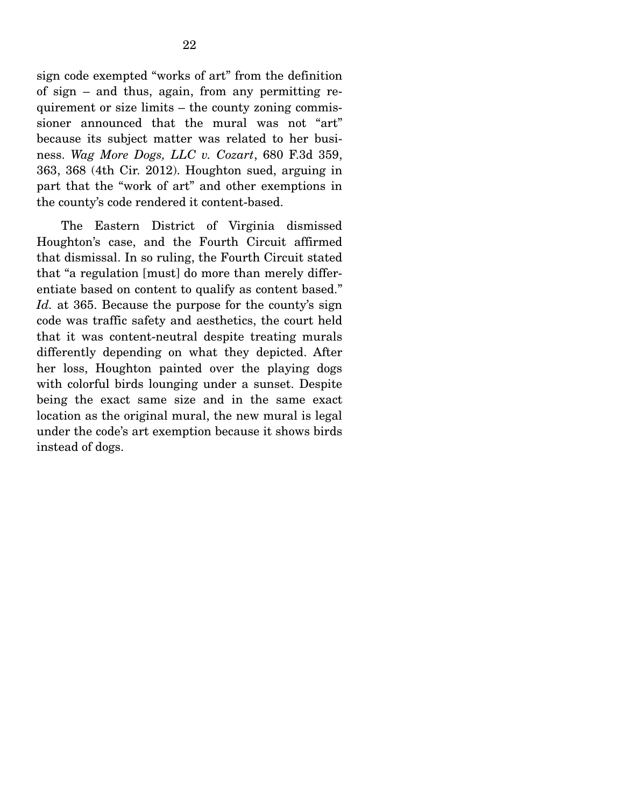sign code exempted "works of art" from the definition of sign – and thus, again, from any permitting requirement or size limits – the county zoning commissioner announced that the mural was not "art" because its subject matter was related to her business. *Wag More Dogs, LLC v. Cozart*, 680 F.3d 359, 363, 368 (4th Cir. 2012). Houghton sued, arguing in part that the "work of art" and other exemptions in the county's code rendered it content-based.

 The Eastern District of Virginia dismissed Houghton's case, and the Fourth Circuit affirmed that dismissal. In so ruling, the Fourth Circuit stated that "a regulation [must] do more than merely differentiate based on content to qualify as content based." *Id.* at 365. Because the purpose for the county's sign code was traffic safety and aesthetics, the court held that it was content-neutral despite treating murals differently depending on what they depicted. After her loss, Houghton painted over the playing dogs with colorful birds lounging under a sunset. Despite being the exact same size and in the same exact location as the original mural, the new mural is legal under the code's art exemption because it shows birds instead of dogs.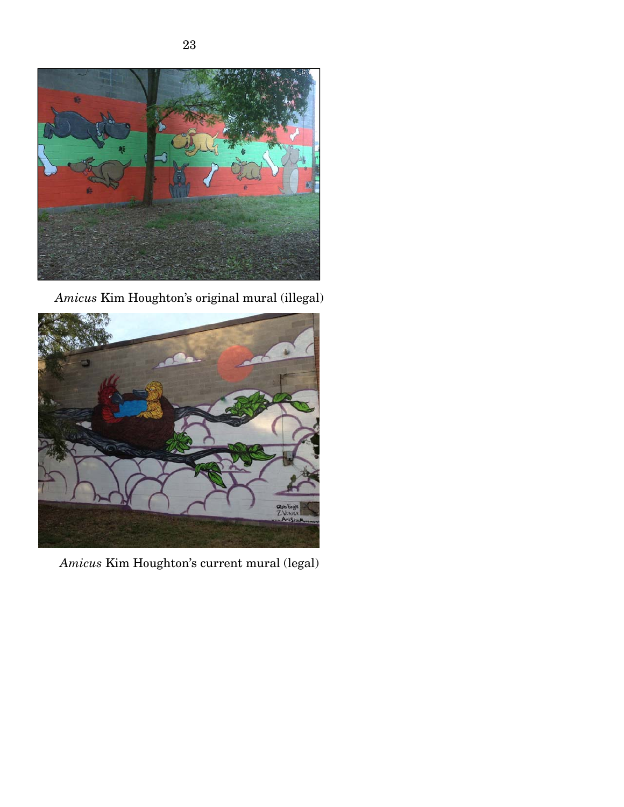

*Amicus* Kim Houghton's original mural (illegal)



*Amicus* Kim Houghton's current mural (legal)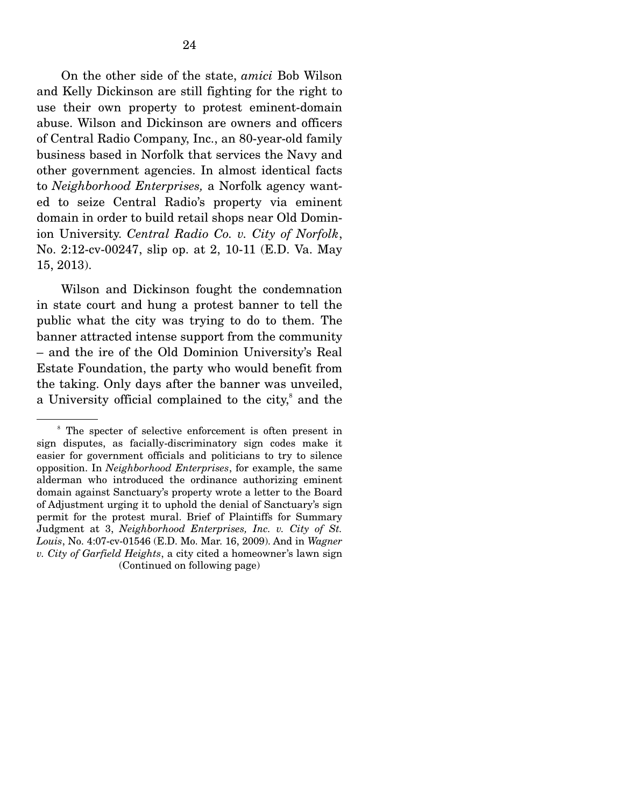On the other side of the state, *amici* Bob Wilson and Kelly Dickinson are still fighting for the right to use their own property to protest eminent-domain abuse. Wilson and Dickinson are owners and officers of Central Radio Company, Inc., an 80-year-old family business based in Norfolk that services the Navy and other government agencies. In almost identical facts to *Neighborhood Enterprises,* a Norfolk agency wanted to seize Central Radio's property via eminent domain in order to build retail shops near Old Dominion University. *Central Radio Co. v. City of Norfolk*, No. 2:12-cv-00247, slip op. at 2, 10-11 (E.D. Va. May 15, 2013).

 Wilson and Dickinson fought the condemnation in state court and hung a protest banner to tell the public what the city was trying to do to them. The banner attracted intense support from the community – and the ire of the Old Dominion University's Real Estate Foundation, the party who would benefit from the taking. Only days after the banner was unveiled, a University official complained to the city,<sup>8</sup> and the

<sup>&</sup>lt;sup>8</sup> The specter of selective enforcement is often present in sign disputes, as facially-discriminatory sign codes make it easier for government officials and politicians to try to silence opposition. In *Neighborhood Enterprises*, for example, the same alderman who introduced the ordinance authorizing eminent domain against Sanctuary's property wrote a letter to the Board of Adjustment urging it to uphold the denial of Sanctuary's sign permit for the protest mural. Brief of Plaintiffs for Summary Judgment at 3, *Neighborhood Enterprises, Inc. v. City of St. Louis*, No. 4:07-cv-01546 (E.D. Mo. Mar. 16, 2009). And in *Wagner v. City of Garfield Heights*, a city cited a homeowner's lawn sign (Continued on following page)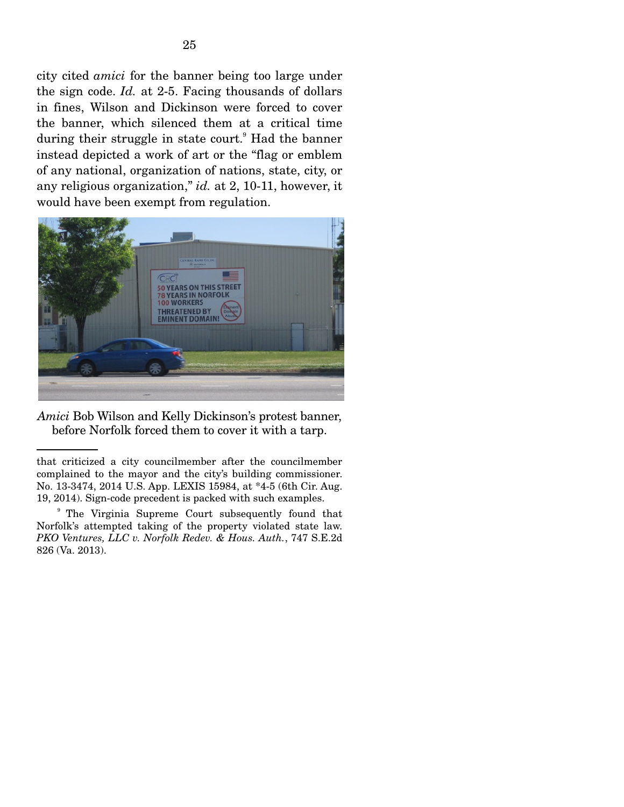city cited *amici* for the banner being too large under the sign code. *Id.* at 2-5. Facing thousands of dollars in fines, Wilson and Dickinson were forced to cover the banner, which silenced them at a critical time during their struggle in state court.<sup>9</sup> Had the banner instead depicted a work of art or the "flag or emblem of any national, organization of nations, state, city, or any religious organization," *id.* at 2, 10-11, however, it would have been exempt from regulation.



*Amici* Bob Wilson and Kelly Dickinson's protest banner, before Norfolk forced them to cover it with a tarp.

that criticized a city councilmember after the councilmember complained to the mayor and the city's building commissioner. No. 13-3474, 2014 U.S. App. LEXIS 15984, at \*4-5 (6th Cir. Aug. 19, 2014). Sign-code precedent is packed with such examples.

<sup>9</sup> The Virginia Supreme Court subsequently found that Norfolk's attempted taking of the property violated state law. *PKO Ventures, LLC v. Norfolk Redev. & Hous. Auth.*, 747 S.E.2d 826 (Va. 2013).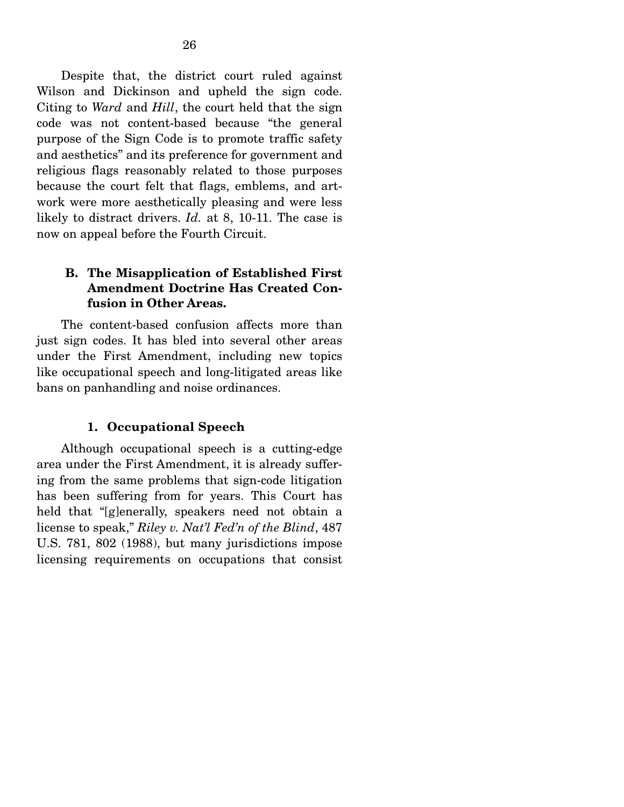Despite that, the district court ruled against Wilson and Dickinson and upheld the sign code. Citing to *Ward* and *Hill*, the court held that the sign code was not content-based because "the general purpose of the Sign Code is to promote traffic safety and aesthetics" and its preference for government and religious flags reasonably related to those purposes because the court felt that flags, emblems, and artwork were more aesthetically pleasing and were less likely to distract drivers. *Id.* at 8, 10-11. The case is now on appeal before the Fourth Circuit.

### **B. The Misapplication of Established First Amendment Doctrine Has Created Confusion in Other Areas.**

 The content-based confusion affects more than just sign codes. It has bled into several other areas under the First Amendment, including new topics like occupational speech and long-litigated areas like bans on panhandling and noise ordinances.

### **1. Occupational Speech**

 Although occupational speech is a cutting-edge area under the First Amendment, it is already suffering from the same problems that sign-code litigation has been suffering from for years. This Court has held that "[g]enerally, speakers need not obtain a license to speak," *Riley v. Nat'l Fed'n of the Blind*, 487 U.S. 781, 802 (1988), but many jurisdictions impose licensing requirements on occupations that consist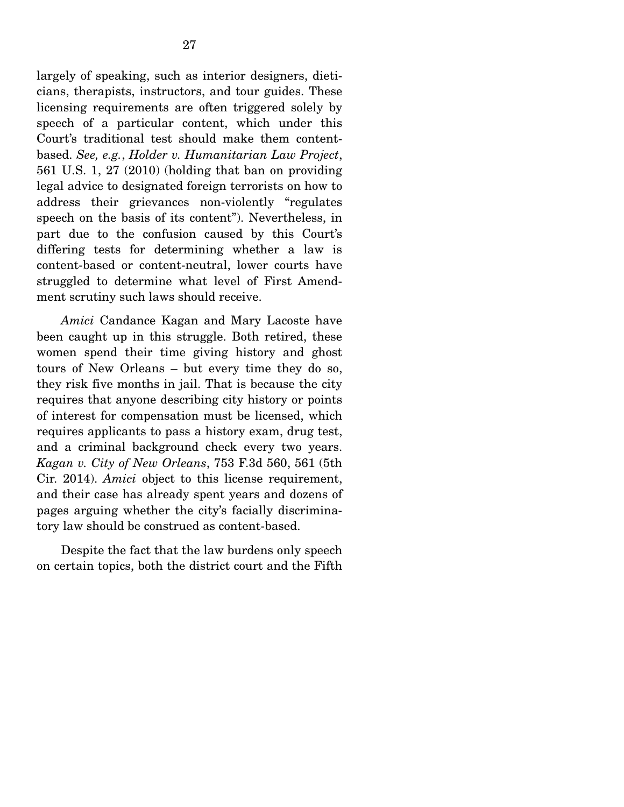largely of speaking, such as interior designers, dieticians, therapists, instructors, and tour guides. These licensing requirements are often triggered solely by speech of a particular content, which under this Court's traditional test should make them contentbased. *See, e.g.*, *Holder v. Humanitarian Law Project*, 561 U.S. 1, 27 (2010) (holding that ban on providing legal advice to designated foreign terrorists on how to address their grievances non-violently "regulates speech on the basis of its content"). Nevertheless, in part due to the confusion caused by this Court's differing tests for determining whether a law is content-based or content-neutral, lower courts have struggled to determine what level of First Amendment scrutiny such laws should receive.

*Amici* Candance Kagan and Mary Lacoste have been caught up in this struggle. Both retired, these women spend their time giving history and ghost tours of New Orleans – but every time they do so, they risk five months in jail. That is because the city requires that anyone describing city history or points of interest for compensation must be licensed, which requires applicants to pass a history exam, drug test, and a criminal background check every two years. *Kagan v. City of New Orleans*, 753 F.3d 560, 561 (5th Cir. 2014). *Amici* object to this license requirement, and their case has already spent years and dozens of pages arguing whether the city's facially discriminatory law should be construed as content-based.

 Despite the fact that the law burdens only speech on certain topics, both the district court and the Fifth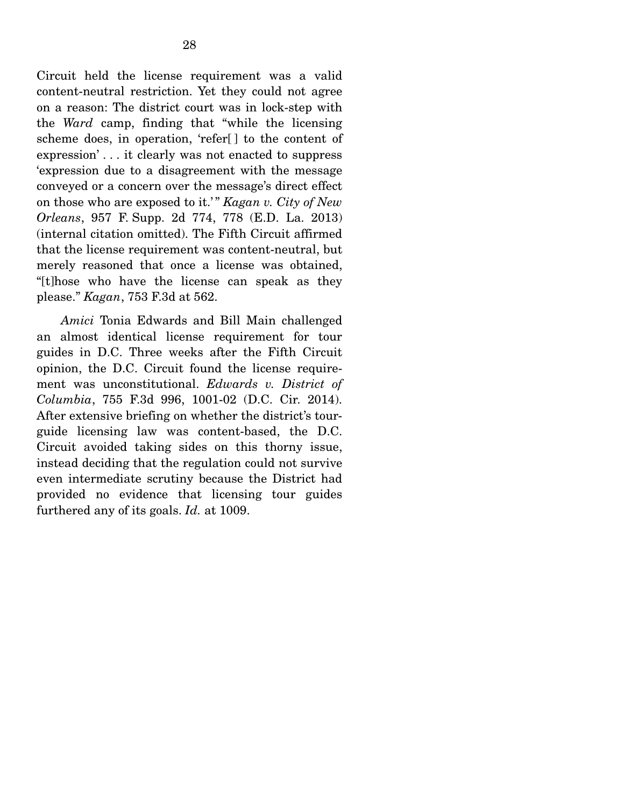Circuit held the license requirement was a valid content-neutral restriction. Yet they could not agree on a reason: The district court was in lock-step with the *Ward* camp, finding that "while the licensing scheme does, in operation, 'refer[ ] to the content of expression' . . . it clearly was not enacted to suppress 'expression due to a disagreement with the message conveyed or a concern over the message's direct effect on those who are exposed to it.' " *Kagan v. City of New Orleans*, 957 F. Supp. 2d 774, 778 (E.D. La. 2013) (internal citation omitted). The Fifth Circuit affirmed that the license requirement was content-neutral, but merely reasoned that once a license was obtained, "[t]hose who have the license can speak as they please." *Kagan*, 753 F.3d at 562.

*Amici* Tonia Edwards and Bill Main challenged an almost identical license requirement for tour guides in D.C. Three weeks after the Fifth Circuit opinion, the D.C. Circuit found the license requirement was unconstitutional. *Edwards v. District of Columbia*, 755 F.3d 996, 1001-02 (D.C. Cir. 2014). After extensive briefing on whether the district's tourguide licensing law was content-based, the D.C. Circuit avoided taking sides on this thorny issue, instead deciding that the regulation could not survive even intermediate scrutiny because the District had provided no evidence that licensing tour guides furthered any of its goals. *Id.* at 1009.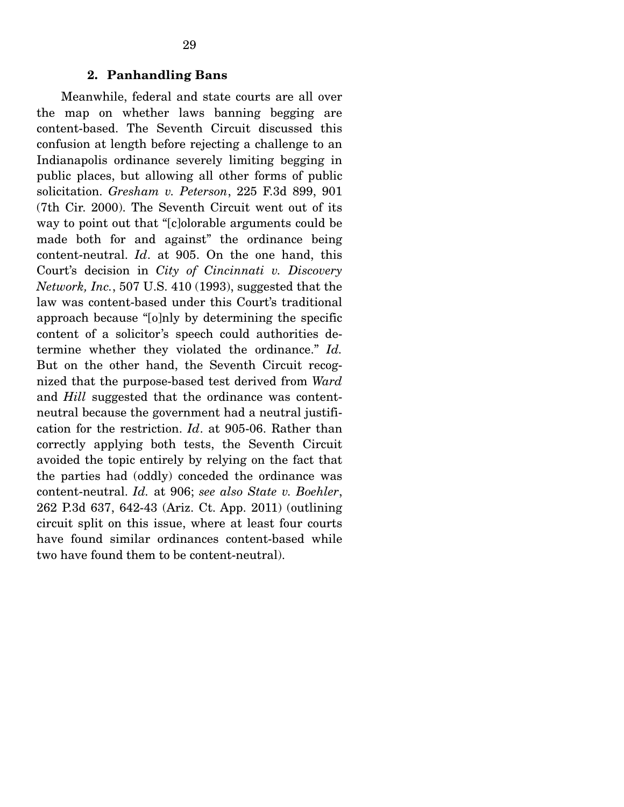#### **2. Panhandling Bans**

 Meanwhile, federal and state courts are all over the map on whether laws banning begging are content-based. The Seventh Circuit discussed this confusion at length before rejecting a challenge to an Indianapolis ordinance severely limiting begging in public places, but allowing all other forms of public solicitation. *Gresham v. Peterson*, 225 F.3d 899, 901 (7th Cir. 2000). The Seventh Circuit went out of its way to point out that "[c]olorable arguments could be made both for and against" the ordinance being content-neutral. *Id*. at 905. On the one hand, this Court's decision in *City of Cincinnati v. Discovery Network, Inc.*, 507 U.S. 410 (1993), suggested that the law was content-based under this Court's traditional approach because "[o]nly by determining the specific content of a solicitor's speech could authorities determine whether they violated the ordinance." *Id.*  But on the other hand, the Seventh Circuit recognized that the purpose-based test derived from *Ward* and *Hill* suggested that the ordinance was contentneutral because the government had a neutral justification for the restriction. *Id*. at 905-06. Rather than correctly applying both tests, the Seventh Circuit avoided the topic entirely by relying on the fact that the parties had (oddly) conceded the ordinance was content-neutral. *Id.* at 906; *see also State v. Boehler*, 262 P.3d 637, 642-43 (Ariz. Ct. App. 2011) (outlining circuit split on this issue, where at least four courts have found similar ordinances content-based while two have found them to be content-neutral).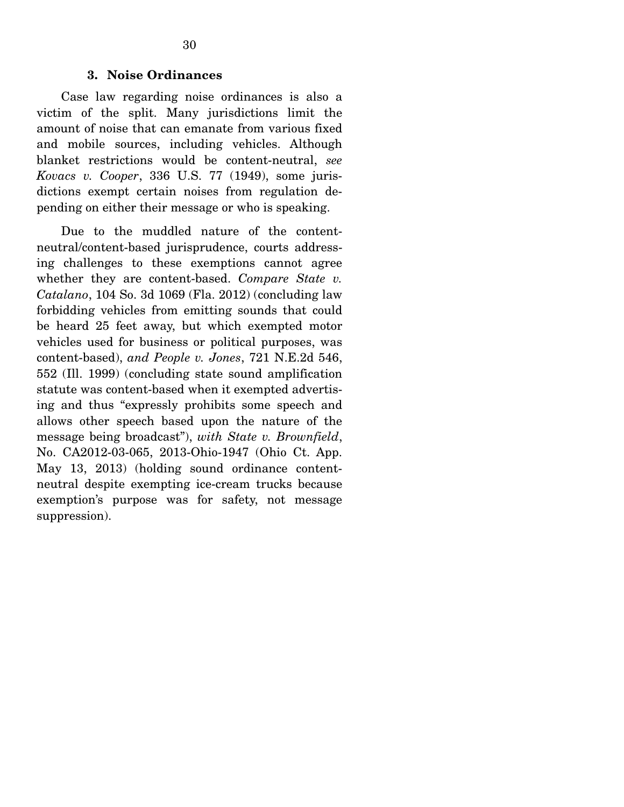### **3. Noise Ordinances**

 Case law regarding noise ordinances is also a victim of the split. Many jurisdictions limit the amount of noise that can emanate from various fixed and mobile sources, including vehicles. Although blanket restrictions would be content-neutral, *see Kovacs v. Cooper*, 336 U.S. 77 (1949), some jurisdictions exempt certain noises from regulation depending on either their message or who is speaking.

 Due to the muddled nature of the contentneutral/content-based jurisprudence, courts addressing challenges to these exemptions cannot agree whether they are content-based. *Compare State v. Catalano*, 104 So. 3d 1069 (Fla. 2012) (concluding law forbidding vehicles from emitting sounds that could be heard 25 feet away, but which exempted motor vehicles used for business or political purposes, was content-based), *and People v. Jones*, 721 N.E.2d 546, 552 (Ill. 1999) (concluding state sound amplification statute was content-based when it exempted advertising and thus "expressly prohibits some speech and allows other speech based upon the nature of the message being broadcast"), *with State v. Brownfield*, No. CA2012-03-065, 2013-Ohio-1947 (Ohio Ct. App. May 13, 2013) (holding sound ordinance contentneutral despite exempting ice-cream trucks because exemption's purpose was for safety, not message suppression).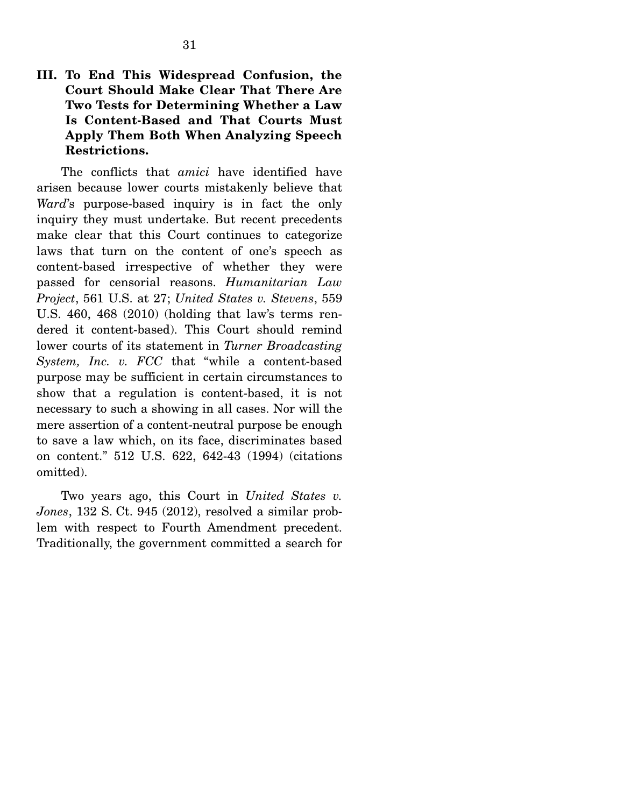# **III. To End This Widespread Confusion, the Court Should Make Clear That There Are Two Tests for Determining Whether a Law Is Content-Based and That Courts Must Apply Them Both When Analyzing Speech Restrictions.**

 The conflicts that *amici* have identified have arisen because lower courts mistakenly believe that *Ward*'s purpose-based inquiry is in fact the only inquiry they must undertake. But recent precedents make clear that this Court continues to categorize laws that turn on the content of one's speech as content-based irrespective of whether they were passed for censorial reasons. *Humanitarian Law Project*, 561 U.S. at 27; *United States v. Stevens*, 559 U.S. 460, 468 (2010) (holding that law's terms rendered it content-based). This Court should remind lower courts of its statement in *Turner Broadcasting System, Inc. v. FCC* that "while a content-based purpose may be sufficient in certain circumstances to show that a regulation is content-based, it is not necessary to such a showing in all cases. Nor will the mere assertion of a content-neutral purpose be enough to save a law which, on its face, discriminates based on content." 512 U.S. 622, 642-43 (1994) (citations omitted).

 Two years ago, this Court in *United States v. Jones*, 132 S. Ct. 945 (2012), resolved a similar problem with respect to Fourth Amendment precedent. Traditionally, the government committed a search for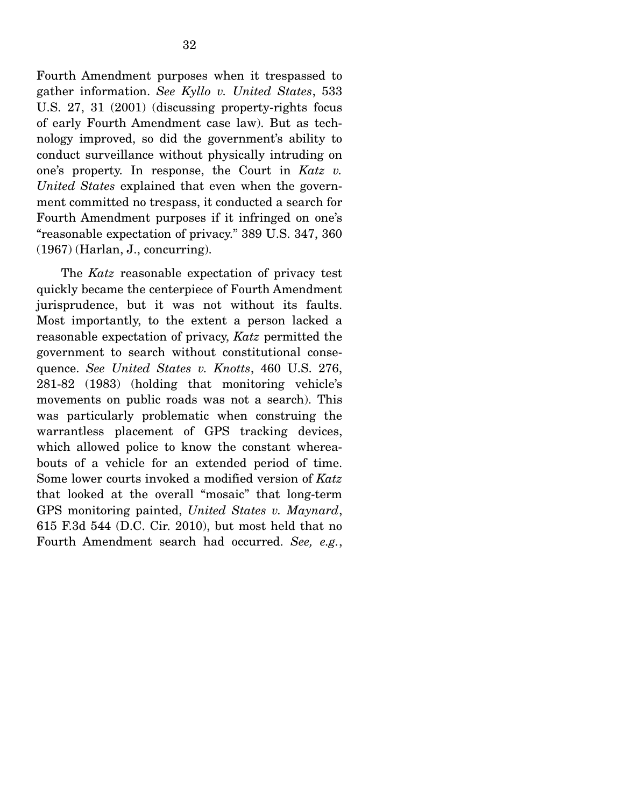Fourth Amendment purposes when it trespassed to gather information. *See Kyllo v. United States*, 533 U.S. 27, 31 (2001) (discussing property-rights focus of early Fourth Amendment case law). But as technology improved, so did the government's ability to conduct surveillance without physically intruding on one's property. In response, the Court in *Katz v. United States* explained that even when the government committed no trespass, it conducted a search for Fourth Amendment purposes if it infringed on one's "reasonable expectation of privacy." 389 U.S. 347, 360 (1967) (Harlan, J., concurring).

 The *Katz* reasonable expectation of privacy test quickly became the centerpiece of Fourth Amendment jurisprudence, but it was not without its faults. Most importantly, to the extent a person lacked a reasonable expectation of privacy, *Katz* permitted the government to search without constitutional consequence. *See United States v. Knotts*, 460 U.S. 276, 281-82 (1983) (holding that monitoring vehicle's movements on public roads was not a search). This was particularly problematic when construing the warrantless placement of GPS tracking devices, which allowed police to know the constant whereabouts of a vehicle for an extended period of time. Some lower courts invoked a modified version of *Katz* that looked at the overall "mosaic" that long-term GPS monitoring painted, *United States v. Maynard*, 615 F.3d 544 (D.C. Cir. 2010), but most held that no Fourth Amendment search had occurred. *See, e.g.*,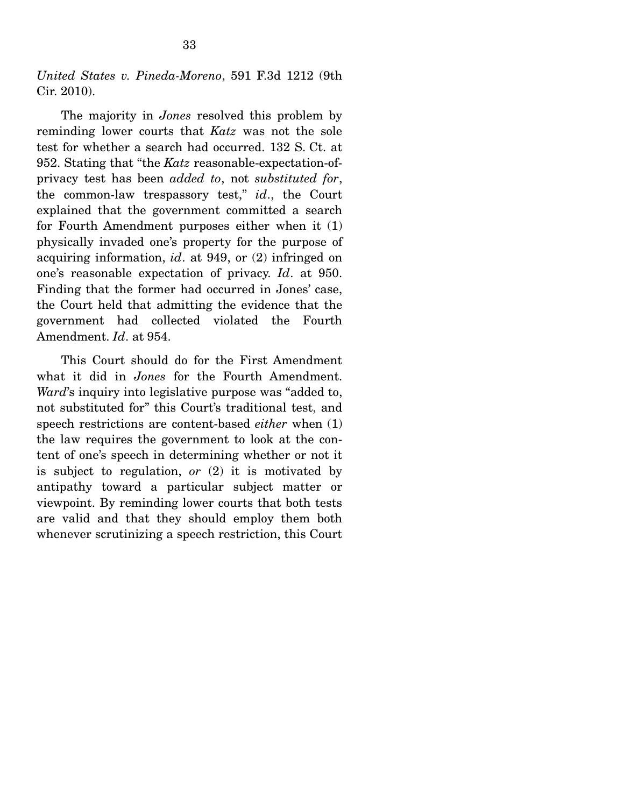*United States v. Pineda-Moreno*, 591 F.3d 1212 (9th Cir. 2010).

 The majority in *Jones* resolved this problem by reminding lower courts that *Katz* was not the sole test for whether a search had occurred. 132 S. Ct. at 952. Stating that "the *Katz* reasonable-expectation-ofprivacy test has been *added to*, not *substituted for*, the common-law trespassory test," *id*., the Court explained that the government committed a search for Fourth Amendment purposes either when it (1) physically invaded one's property for the purpose of acquiring information, *id*. at 949, or (2) infringed on one's reasonable expectation of privacy. *Id*. at 950. Finding that the former had occurred in Jones' case, the Court held that admitting the evidence that the government had collected violated the Fourth Amendment. *Id*. at 954.

 This Court should do for the First Amendment what it did in *Jones* for the Fourth Amendment. *Ward*'s inquiry into legislative purpose was "added to, not substituted for" this Court's traditional test, and speech restrictions are content-based *either* when (1) the law requires the government to look at the content of one's speech in determining whether or not it is subject to regulation, *or* (2) it is motivated by antipathy toward a particular subject matter or viewpoint. By reminding lower courts that both tests are valid and that they should employ them both whenever scrutinizing a speech restriction, this Court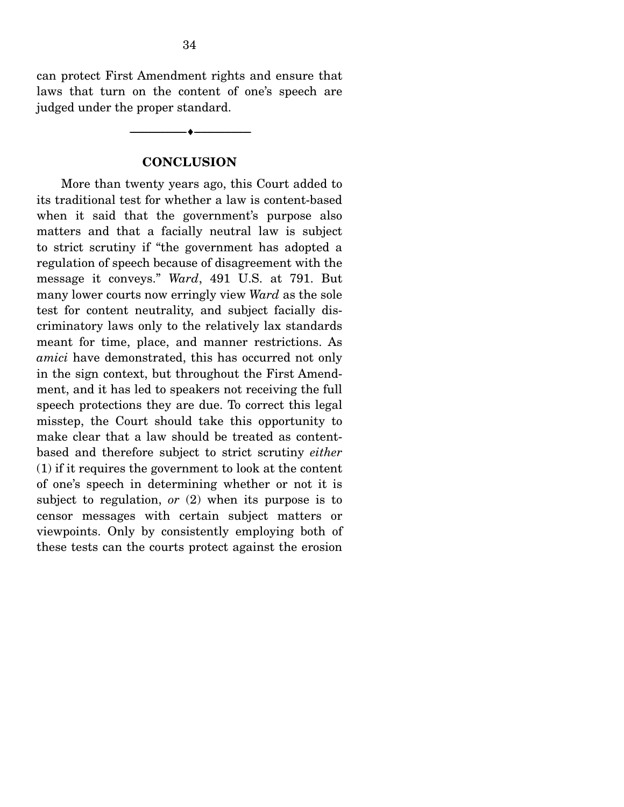can protect First Amendment rights and ensure that laws that turn on the content of one's speech are judged under the proper standard.

### **CONCLUSION**

--------------------------------- ---------------------------------

 More than twenty years ago, this Court added to its traditional test for whether a law is content-based when it said that the government's purpose also matters and that a facially neutral law is subject to strict scrutiny if "the government has adopted a regulation of speech because of disagreement with the message it conveys." *Ward*, 491 U.S. at 791. But many lower courts now erringly view *Ward* as the sole test for content neutrality, and subject facially discriminatory laws only to the relatively lax standards meant for time, place, and manner restrictions. As *amici* have demonstrated, this has occurred not only in the sign context, but throughout the First Amendment, and it has led to speakers not receiving the full speech protections they are due. To correct this legal misstep, the Court should take this opportunity to make clear that a law should be treated as contentbased and therefore subject to strict scrutiny *either* (1) if it requires the government to look at the content of one's speech in determining whether or not it is subject to regulation, *or* (2) when its purpose is to censor messages with certain subject matters or viewpoints. Only by consistently employing both of these tests can the courts protect against the erosion